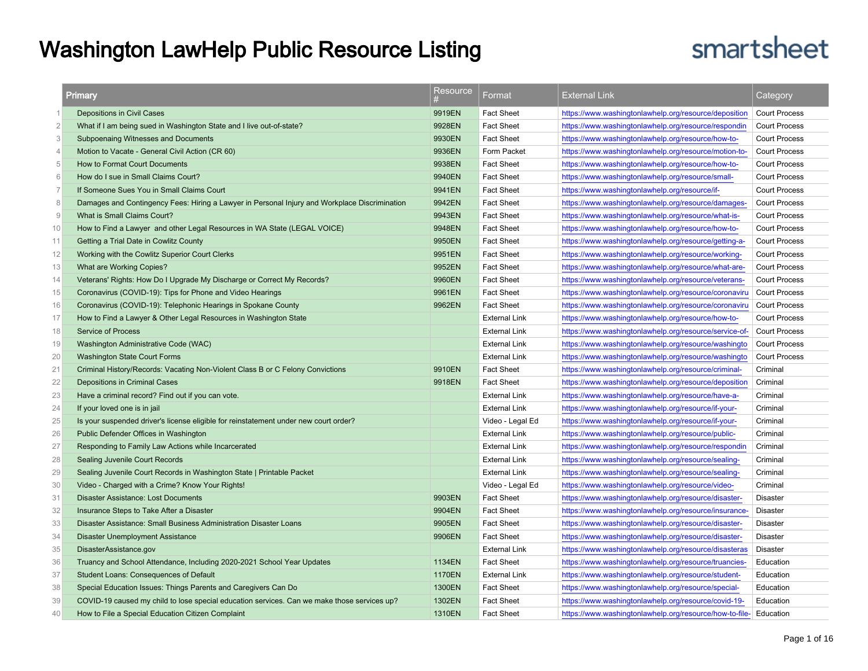## Washington LawHelp Public Resource Listing

## smartsheet

|                | Primary                                                                                       | Resource      | Format               | <b>External Link</b>                                    | Category             |
|----------------|-----------------------------------------------------------------------------------------------|---------------|----------------------|---------------------------------------------------------|----------------------|
|                | Depositions in Civil Cases                                                                    | 9919EN        | <b>Fact Sheet</b>    | https://www.washingtonlawhelp.org/resource/deposition   | <b>Court Process</b> |
| $\overline{2}$ | What if I am being sued in Washington State and I live out-of-state?                          | 9928EN        | <b>Fact Sheet</b>    | https://www.washingtonlawhelp.org/resource/respondin    | <b>Court Process</b> |
| 3              | Subpoenaing Witnesses and Documents                                                           | 9930EN        | <b>Fact Sheet</b>    | https://www.washingtonlawhelp.org/resource/how-to-      | <b>Court Process</b> |
| $\overline{4}$ | Motion to Vacate - General Civil Action (CR 60)                                               | 9936EN        | Form Packet          | https://www.washingtonlawhelp.org/resource/motion-to-   | <b>Court Process</b> |
| 5              | <b>How to Format Court Documents</b>                                                          | 9938EN        | <b>Fact Sheet</b>    | https://www.washingtonlawhelp.org/resource/how-to-      | <b>Court Process</b> |
| 6              | How do I sue in Small Claims Court?                                                           | 9940EN        | <b>Fact Sheet</b>    | https://www.washingtonlawhelp.org/resource/small-       | <b>Court Process</b> |
| $\overline{7}$ | If Someone Sues You in Small Claims Court                                                     | 9941EN        | <b>Fact Sheet</b>    | https://www.washingtonlawhelp.org/resource/if-          | <b>Court Process</b> |
| 8              | Damages and Contingency Fees: Hiring a Lawyer in Personal Injury and Workplace Discrimination | 9942EN        | <b>Fact Sheet</b>    | https://www.washingtonlawhelp.org/resource/damages-     | <b>Court Process</b> |
| 9              | What is Small Claims Court?                                                                   | 9943EN        | <b>Fact Sheet</b>    | https://www.washingtonlawhelp.org/resource/what-is-     | <b>Court Process</b> |
| 10             | How to Find a Lawyer and other Legal Resources in WA State (LEGAL VOICE)                      | 9948EN        | <b>Fact Sheet</b>    | https://www.washingtonlawhelp.org/resource/how-to-      | <b>Court Process</b> |
| 11             | Getting a Trial Date in Cowlitz County                                                        | 9950EN        | <b>Fact Sheet</b>    | https://www.washingtonlawhelp.org/resource/getting-a-   | <b>Court Process</b> |
| 12             | Working with the Cowlitz Superior Court Clerks                                                | 9951EN        | <b>Fact Sheet</b>    | https://www.washingtonlawhelp.org/resource/working-     | <b>Court Process</b> |
| 13             | What are Working Copies?                                                                      | 9952EN        | <b>Fact Sheet</b>    | https://www.washingtonlawhelp.org/resource/what-are-    | <b>Court Process</b> |
| 14             | Veterans' Rights: How Do I Upgrade My Discharge or Correct My Records?                        | 9960EN        | <b>Fact Sheet</b>    | https://www.washingtonlawhelp.org/resource/veterans-    | <b>Court Process</b> |
| 15             | Coronavirus (COVID-19): Tips for Phone and Video Hearings                                     | 9961EN        | <b>Fact Sheet</b>    | https://www.washingtonlawhelp.org/resource/coronaviru   | <b>Court Process</b> |
| 16             | Coronavirus (COVID-19): Telephonic Hearings in Spokane County                                 | 9962EN        | <b>Fact Sheet</b>    | https://www.washingtonlawhelp.org/resource/coronaviru   | <b>Court Process</b> |
| 17             | How to Find a Lawyer & Other Legal Resources in Washington State                              |               | <b>External Link</b> | https://www.washingtonlawhelp.org/resource/how-to-      | <b>Court Process</b> |
| 18             | <b>Service of Process</b>                                                                     |               | <b>External Link</b> | https://www.washingtonlawhelp.org/resource/service-of-  | <b>Court Process</b> |
| 19             | Washington Administrative Code (WAC)                                                          |               | <b>External Link</b> | https://www.washingtonlawhelp.org/resource/washingto    | <b>Court Process</b> |
| 20             | <b>Washington State Court Forms</b>                                                           |               | <b>External Link</b> | https://www.washingtonlawhelp.org/resource/washingto    | <b>Court Process</b> |
| 21             | Criminal History/Records: Vacating Non-Violent Class B or C Felony Convictions                | 9910EN        | <b>Fact Sheet</b>    | https://www.washingtonlawhelp.org/resource/criminal-    | Criminal             |
| 22             | Depositions in Criminal Cases                                                                 | 9918EN        | <b>Fact Sheet</b>    | https://www.washingtonlawhelp.org/resource/deposition   | Criminal             |
| 23             | Have a criminal record? Find out if you can vote.                                             |               | <b>External Link</b> | https://www.washingtonlawhelp.org/resource/have-a-      | Criminal             |
| 24             | If your loved one is in jail                                                                  |               | <b>External Link</b> | https://www.washingtonlawhelp.org/resource/if-your-     | Criminal             |
| 25             | Is your suspended driver's license eligible for reinstatement under new court order?          |               | Video - Legal Ed     | https://www.washingtonlawhelp.org/resource/if-your-     | Criminal             |
| 26             | Public Defender Offices in Washington                                                         |               | <b>External Link</b> | https://www.washingtonlawhelp.org/resource/public-      | Criminal             |
| 27             | Responding to Family Law Actions while Incarcerated                                           |               | <b>External Link</b> | https://www.washingtonlawhelp.org/resource/respondin    | Criminal             |
| 28             | Sealing Juvenile Court Records                                                                |               | <b>External Link</b> | https://www.washingtonlawhelp.org/resource/sealing-     | Criminal             |
| 29             | Sealing Juvenile Court Records in Washington State   Printable Packet                         |               | <b>External Link</b> | https://www.washingtonlawhelp.org/resource/sealing-     | Criminal             |
| 30             | Video - Charged with a Crime? Know Your Rights!                                               |               | Video - Legal Ed     | https://www.washingtonlawhelp.org/resource/video-       | Criminal             |
| 31             | Disaster Assistance: Lost Documents                                                           | 9903EN        | <b>Fact Sheet</b>    | https://www.washingtonlawhelp.org/resource/disaster-    | <b>Disaster</b>      |
| 32             | Insurance Steps to Take After a Disaster                                                      | 9904EN        | <b>Fact Sheet</b>    | https://www.washingtonlawhelp.org/resource/insurance-   | <b>Disaster</b>      |
| 33             | Disaster Assistance: Small Business Administration Disaster Loans                             | 9905EN        | <b>Fact Sheet</b>    | https://www.washingtonlawhelp.org/resource/disaster-    | <b>Disaster</b>      |
| 34             | <b>Disaster Unemployment Assistance</b>                                                       | 9906EN        | <b>Fact Sheet</b>    | https://www.washingtonlawhelp.org/resource/disaster-    | <b>Disaster</b>      |
| 35             | DisasterAssistance.gov                                                                        |               | <b>External Link</b> | https://www.washingtonlawhelp.org/resource/disasteras   | <b>Disaster</b>      |
| 36             | Truancy and School Attendance, Including 2020-2021 School Year Updates                        | 1134EN        | <b>Fact Sheet</b>    | https://www.washingtonlawhelp.org/resource/truancies-   | Education            |
| 37             | <b>Student Loans: Consequences of Default</b>                                                 | <b>1170EN</b> | <b>External Link</b> | https://www.washingtonlawhelp.org/resource/student-     | Education            |
| 38             | Special Education Issues: Things Parents and Caregivers Can Do                                | 1300EN        | <b>Fact Sheet</b>    | https://www.washingtonlawhelp.org/resource/special-     | Education            |
| 39             | COVID-19 caused my child to lose special education services. Can we make those services up?   | 1302EN        | <b>Fact Sheet</b>    | https://www.washingtonlawhelp.org/resource/covid-19-    | Education            |
| 40             | How to File a Special Education Citizen Complaint                                             | 1310EN        | <b>Fact Sheet</b>    | https://www.washingtonlawhelp.org/resource/how-to-file- | Education            |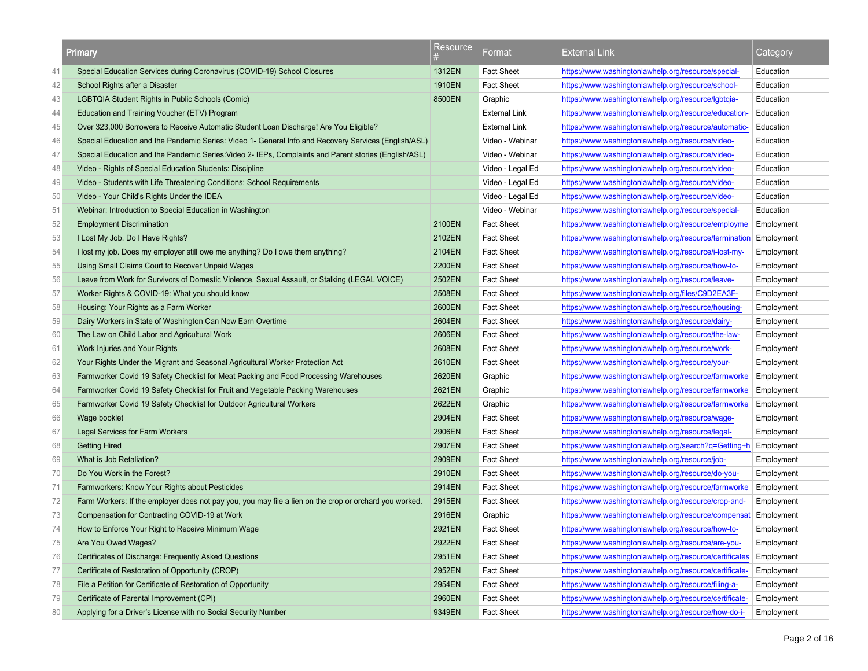|    | Primary                                                                                                | Resource | Format               | <b>External Link</b>                                    | Category   |
|----|--------------------------------------------------------------------------------------------------------|----------|----------------------|---------------------------------------------------------|------------|
| 41 | Special Education Services during Coronavirus (COVID-19) School Closures                               | 1312EN   | <b>Fact Sheet</b>    | https://www.washingtonlawhelp.org/resource/special-     | Education  |
| 42 | School Rights after a Disaster                                                                         | 1910EN   | <b>Fact Sheet</b>    | https://www.washingtonlawhelp.org/resource/school-      | Education  |
| 43 | LGBTQIA Student Rights in Public Schools (Comic)                                                       | 8500EN   | Graphic              | https://www.washingtonlawhelp.org/resource/lgbtqia-     | Education  |
| 44 | Education and Training Voucher (ETV) Program                                                           |          | External Link        | https://www.washingtonlawhelp.org/resource/education-   | Education  |
| 45 | Over 323,000 Borrowers to Receive Automatic Student Loan Discharge! Are You Eligible?                  |          | <b>External Link</b> | https://www.washingtonlawhelp.org/resource/automatic-   | Education  |
| 46 | Special Education and the Pandemic Series: Video 1- General Info and Recovery Services (English/ASL)   |          | Video - Webinar      | https://www.washingtonlawhelp.org/resource/video-       | Education  |
| 47 | Special Education and the Pandemic Series: Video 2-IEPs, Complaints and Parent stories (English/ASL)   |          | Video - Webinar      | https://www.washingtonlawhelp.org/resource/video-       | Education  |
| 48 | Video - Rights of Special Education Students: Discipline                                               |          | Video - Legal Ed     | https://www.washingtonlawhelp.org/resource/video-       | Education  |
| 49 | Video - Students with Life Threatening Conditions: School Requirements                                 |          | Video - Legal Ed     | https://www.washingtonlawhelp.org/resource/video-       | Education  |
| 50 | Video - Your Child's Rights Under the IDEA                                                             |          | Video - Legal Ed     | https://www.washingtonlawhelp.org/resource/video-       | Education  |
| 51 | Webinar: Introduction to Special Education in Washington                                               |          | Video - Webinar      | https://www.washingtonlawhelp.org/resource/special-     | Education  |
| 52 | <b>Employment Discrimination</b>                                                                       | 2100EN   | <b>Fact Sheet</b>    | https://www.washingtonlawhelp.org/resource/employme     | Employment |
| 53 | I Lost My Job. Do I Have Rights?                                                                       | 2102EN   | <b>Fact Sheet</b>    | https://www.washingtonlawhelp.org/resource/termination  | Employment |
| 54 | I lost my job. Does my employer still owe me anything? Do I owe them anything?                         | 2104EN   | <b>Fact Sheet</b>    | https://www.washingtonlawhelp.org/resource/i-lost-my-   | Employment |
| 55 | Using Small Claims Court to Recover Unpaid Wages                                                       | 2200EN   | <b>Fact Sheet</b>    | https://www.washingtonlawhelp.org/resource/how-to-      | Employment |
| 56 | Leave from Work for Survivors of Domestic Violence, Sexual Assault, or Stalking (LEGAL VOICE)          | 2502EN   | <b>Fact Sheet</b>    | https://www.washingtonlawhelp.org/resource/leave-       | Employment |
| 57 | Worker Rights & COVID-19: What you should know                                                         | 2508EN   | <b>Fact Sheet</b>    | https://www.washingtonlawhelp.org/files/C9D2EA3F-       | Employment |
| 58 | Housing: Your Rights as a Farm Worker                                                                  | 2600EN   | <b>Fact Sheet</b>    | https://www.washingtonlawhelp.org/resource/housing-     | Employment |
| 59 | Dairy Workers in State of Washington Can Now Earn Overtime                                             | 2604EN   | <b>Fact Sheet</b>    | https://www.washingtonlawhelp.org/resource/dairy-       | Employment |
| 60 | The Law on Child Labor and Agricultural Work                                                           | 2606EN   | <b>Fact Sheet</b>    | https://www.washingtonlawhelp.org/resource/the-law-     | Employment |
| 61 | Work Injuries and Your Rights                                                                          | 2608EN   | <b>Fact Sheet</b>    | https://www.washingtonlawhelp.org/resource/work-        | Employment |
| 62 | Your Rights Under the Migrant and Seasonal Agricultural Worker Protection Act                          | 2610EN   | <b>Fact Sheet</b>    | https://www.washingtonlawhelp.org/resource/your-        | Employment |
| 63 | Farmworker Covid 19 Safety Checklist for Meat Packing and Food Processing Warehouses                   | 2620EN   | Graphic              | https://www.washingtonlawhelp.org/resource/farmworke    | Employment |
| 64 | Farmworker Covid 19 Safety Checklist for Fruit and Vegetable Packing Warehouses                        | 2621EN   | Graphic              | https://www.washingtonlawhelp.org/resource/farmworke    | Employment |
| 65 | Farmworker Covid 19 Safety Checklist for Outdoor Agricultural Workers                                  | 2622EN   | Graphic              | https://www.washingtonlawhelp.org/resource/farmworke    | Employment |
| 66 | Wage booklet                                                                                           | 2904EN   | <b>Fact Sheet</b>    | https://www.washingtonlawhelp.org/resource/wage-        | Employment |
| 67 | Legal Services for Farm Workers                                                                        | 2906EN   | <b>Fact Sheet</b>    | https://www.washingtonlawhelp.org/resource/legal-       | Employment |
| 68 | <b>Getting Hired</b>                                                                                   | 2907EN   | <b>Fact Sheet</b>    | https://www.washingtonlawhelp.org/search?q=Getting+h    | Employment |
| 69 | What is Job Retaliation?                                                                               | 2909EN   | <b>Fact Sheet</b>    | https://www.washingtonlawhelp.org/resource/job-         | Employment |
| 70 | Do You Work in the Forest?                                                                             | 2910EN   | <b>Fact Sheet</b>    | https://www.washingtonlawhelp.org/resource/do-you-      | Employment |
| 71 | Farmworkers: Know Your Rights about Pesticides                                                         | 2914EN   | <b>Fact Sheet</b>    | https://www.washingtonlawhelp.org/resource/farmworke    | Employment |
| 72 | Farm Workers: If the employer does not pay you, you may file a lien on the crop or orchard you worked. | 2915EN   | <b>Fact Sheet</b>    | https://www.washingtonlawhelp.org/resource/crop-and-    | Employment |
| 73 | Compensation for Contracting COVID-19 at Work                                                          | 2916EN   | Graphic              | https://www.washingtonlawhelp.org/resource/compensat    | Employment |
| 74 | How to Enforce Your Right to Receive Minimum Wage                                                      | 2921EN   | <b>Fact Sheet</b>    | https://www.washingtonlawhelp.org/resource/how-to-      | Employment |
| 75 | Are You Owed Wages?                                                                                    | 2922EN   | <b>Fact Sheet</b>    | https://www.washingtonlawhelp.org/resource/are-you-     | Employment |
| 76 | Certificates of Discharge: Frequently Asked Questions                                                  | 2951EN   | <b>Fact Sheet</b>    | https://www.washingtonlawhelp.org/resource/certificates | Employment |
| 77 | Certificate of Restoration of Opportunity (CROP)                                                       | 2952EN   | <b>Fact Sheet</b>    | https://www.washingtonlawhelp.org/resource/certificate- | Employment |
| 78 | File a Petition for Certificate of Restoration of Opportunity                                          | 2954EN   | <b>Fact Sheet</b>    | https://www.washingtonlawhelp.org/resource/filing-a-    | Employment |
| 79 | Certificate of Parental Improvement (CPI)                                                              | 2960EN   | <b>Fact Sheet</b>    | https://www.washingtonlawhelp.org/resource/certificate- | Employment |
| 80 | Applying for a Driver's License with no Social Security Number                                         | 9349EN   | <b>Fact Sheet</b>    | https://www.washingtonlawhelp.org/resource/how-do-i-    | Employment |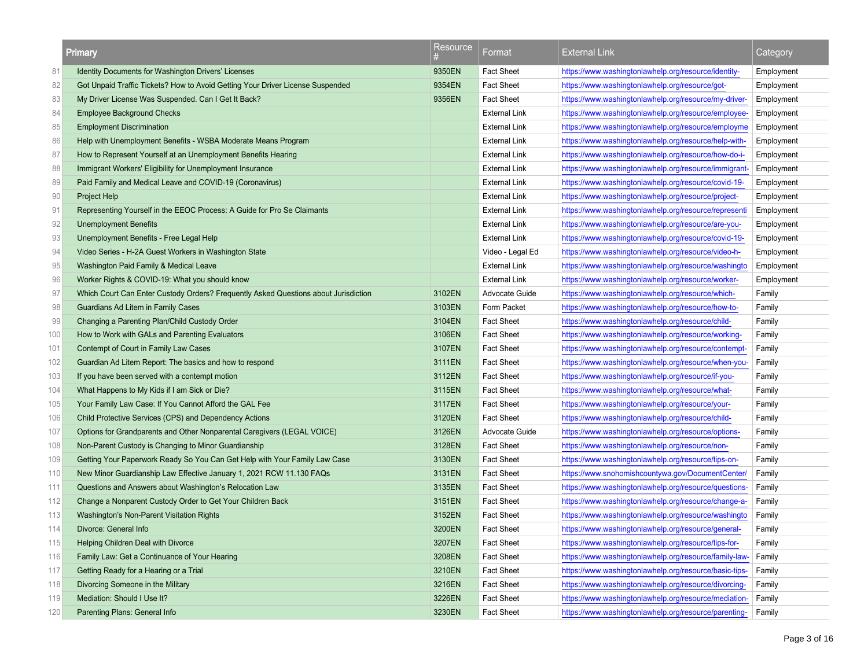|     | Primary                                                                             | Resource | Format               | <b>External Link</b>                                   | Category   |
|-----|-------------------------------------------------------------------------------------|----------|----------------------|--------------------------------------------------------|------------|
| 81  | Identity Documents for Washington Drivers' Licenses                                 | 9350EN   | <b>Fact Sheet</b>    | https://www.washingtonlawhelp.org/resource/identity-   | Employment |
| 82  | Got Unpaid Traffic Tickets? How to Avoid Getting Your Driver License Suspended      | 9354EN   | <b>Fact Sheet</b>    | https://www.washingtonlawhelp.org/resource/got-        | Employment |
| 83  | My Driver License Was Suspended. Can I Get It Back?                                 | 9356EN   | <b>Fact Sheet</b>    | https://www.washingtonlawhelp.org/resource/my-driver-  | Employment |
| 84  | <b>Employee Background Checks</b>                                                   |          | External Link        | https://www.washingtonlawhelp.org/resource/employee-   | Employment |
| 85  | <b>Employment Discrimination</b>                                                    |          | External Link        | https://www.washingtonlawhelp.org/resource/employme    | Employment |
| 86  | Help with Unemployment Benefits - WSBA Moderate Means Program                       |          | <b>External Link</b> | https://www.washingtonlawhelp.org/resource/help-with-  | Employment |
| 87  | How to Represent Yourself at an Unemployment Benefits Hearing                       |          | External Link        | https://www.washingtonlawhelp.org/resource/how-do-i-   | Employment |
| 88  | Immigrant Workers' Eligibility for Unemployment Insurance                           |          | <b>External Link</b> | https://www.washingtonlawhelp.org/resource/immigrant-  | Employment |
| 89  | Paid Family and Medical Leave and COVID-19 (Coronavirus)                            |          | <b>External Link</b> | https://www.washingtonlawhelp.org/resource/covid-19-   | Employment |
| 90  | <b>Project Help</b>                                                                 |          | External Link        | https://www.washingtonlawhelp.org/resource/project-    | Employment |
| 91  | Representing Yourself in the EEOC Process: A Guide for Pro Se Claimants             |          | <b>External Link</b> | https://www.washingtonlawhelp.org/resource/representi  | Employment |
| 92  | <b>Unemployment Benefits</b>                                                        |          | External Link        | https://www.washingtonlawhelp.org/resource/are-you-    | Employment |
| 93  | Unemployment Benefits - Free Legal Help                                             |          | External Link        | https://www.washingtonlawhelp.org/resource/covid-19-   | Employment |
| 94  | Video Series - H-2A Guest Workers in Washington State                               |          | Video - Legal Ed     | https://www.washingtonlawhelp.org/resource/video-h-    | Employment |
| 95  | Washington Paid Family & Medical Leave                                              |          | External Link        | https://www.washingtonlawhelp.org/resource/washingto   | Employment |
| 96  | Worker Rights & COVID-19: What you should know                                      |          | <b>External Link</b> | https://www.washingtonlawhelp.org/resource/worker-     | Employment |
| 97  | Which Court Can Enter Custody Orders? Frequently Asked Questions about Jurisdiction | 3102EN   | Advocate Guide       | https://www.washingtonlawhelp.org/resource/which-      | Family     |
| 98  | Guardians Ad Litem in Family Cases                                                  | 3103EN   | Form Packet          | https://www.washingtonlawhelp.org/resource/how-to-     | Family     |
| 99  | Changing a Parenting Plan/Child Custody Order                                       | 3104EN   | <b>Fact Sheet</b>    | https://www.washingtonlawhelp.org/resource/child-      | Family     |
| 100 | How to Work with GALs and Parenting Evaluators                                      | 3106EN   | <b>Fact Sheet</b>    | https://www.washingtonlawhelp.org/resource/working-    | Family     |
| 101 | Contempt of Court in Family Law Cases                                               | 3107EN   | <b>Fact Sheet</b>    | https://www.washingtonlawhelp.org/resource/contempt-   | Family     |
| 102 | Guardian Ad Litem Report: The basics and how to respond                             | 3111EN   | <b>Fact Sheet</b>    | https://www.washingtonlawhelp.org/resource/when-you-   | Family     |
| 103 | If you have been served with a contempt motion                                      | 3112EN   | <b>Fact Sheet</b>    | https://www.washingtonlawhelp.org/resource/if-you-     | Family     |
| 104 | What Happens to My Kids if I am Sick or Die?                                        | 3115EN   | <b>Fact Sheet</b>    | https://www.washingtonlawhelp.org/resource/what-       | Family     |
| 105 | Your Family Law Case: If You Cannot Afford the GAL Fee                              | 3117EN   | <b>Fact Sheet</b>    | https://www.washingtonlawhelp.org/resource/your-       | Family     |
| 106 | Child Protective Services (CPS) and Dependency Actions                              | 3120EN   | <b>Fact Sheet</b>    | https://www.washingtonlawhelp.org/resource/child-      | Family     |
| 107 | Options for Grandparents and Other Nonparental Caregivers (LEGAL VOICE)             | 3126EN   | Advocate Guide       | https://www.washingtonlawhelp.org/resource/options-    | Family     |
| 108 | Non-Parent Custody is Changing to Minor Guardianship                                | 3128EN   | <b>Fact Sheet</b>    | https://www.washingtonlawhelp.org/resource/non-        | Family     |
| 109 | Getting Your Paperwork Ready So You Can Get Help with Your Family Law Case          | 3130EN   | <b>Fact Sheet</b>    | https://www.washingtonlawhelp.org/resource/tips-on-    | Family     |
| 110 | New Minor Guardianship Law Effective January 1, 2021 RCW 11.130 FAQs                | 3131EN   | <b>Fact Sheet</b>    | https://www.snohomishcountywa.gov/DocumentCenter/      | Family     |
| 111 | Questions and Answers about Washington's Relocation Law                             | 3135EN   | <b>Fact Sheet</b>    | https://www.washingtonlawhelp.org/resource/questions-  | Family     |
| 112 | Change a Nonparent Custody Order to Get Your Children Back                          | 3151EN   | <b>Fact Sheet</b>    | https://www.washingtonlawhelp.org/resource/change-a-   | Family     |
| 113 | Washington's Non-Parent Visitation Rights                                           | 3152EN   | <b>Fact Sheet</b>    | https://www.washingtonlawhelp.org/resource/washingto   | Family     |
| 114 | Divorce: General Info                                                               | 3200EN   | <b>Fact Sheet</b>    | https://www.washingtonlawhelp.org/resource/general-    | Family     |
| 115 | Helping Children Deal with Divorce                                                  | 3207EN   | <b>Fact Sheet</b>    | https://www.washingtonlawhelp.org/resource/tips-for-   | Family     |
| 116 | Family Law: Get a Continuance of Your Hearing                                       | 3208EN   | <b>Fact Sheet</b>    | https://www.washingtonlawhelp.org/resource/family-law- | Family     |
| 117 | Getting Ready for a Hearing or a Trial                                              | 3210EN   | <b>Fact Sheet</b>    | https://www.washingtonlawhelp.org/resource/basic-tips- | Family     |
| 118 | Divorcing Someone in the Military                                                   | 3216EN   | <b>Fact Sheet</b>    | https://www.washingtonlawhelp.org/resource/divorcing-  | Family     |
| 119 | Mediation: Should I Use It?                                                         | 3226EN   | <b>Fact Sheet</b>    | https://www.washingtonlawhelp.org/resource/mediation-  | Family     |
| 120 | Parenting Plans: General Info                                                       | 3230EN   | <b>Fact Sheet</b>    | https://www.washingtonlawhelp.org/resource/parenting-  | Family     |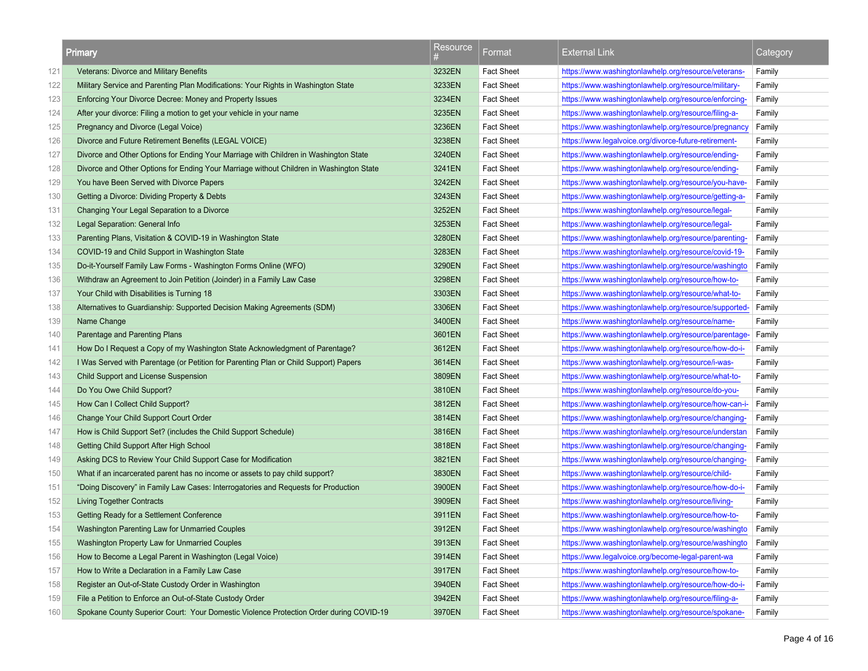|     | Primary                                                                                 | Resource | Format            | <b>External Link</b>                                  | Category |
|-----|-----------------------------------------------------------------------------------------|----------|-------------------|-------------------------------------------------------|----------|
| 121 | Veterans: Divorce and Military Benefits                                                 | 3232EN   | <b>Fact Sheet</b> | https://www.washingtonlawhelp.org/resource/veterans-  | Family   |
| 122 | Military Service and Parenting Plan Modifications: Your Rights in Washington State      | 3233EN   | <b>Fact Sheet</b> | https://www.washingtonlawhelp.org/resource/military-  | Family   |
| 123 | Enforcing Your Divorce Decree: Money and Property Issues                                | 3234EN   | <b>Fact Sheet</b> | https://www.washingtonlawhelp.org/resource/enforcing- | Family   |
| 124 | After your divorce: Filing a motion to get your vehicle in your name                    | 3235EN   | <b>Fact Sheet</b> | https://www.washingtonlawhelp.org/resource/filing-a-  | Family   |
| 125 | Pregnancy and Divorce (Legal Voice)                                                     | 3236EN   | <b>Fact Sheet</b> | https://www.washingtonlawhelp.org/resource/pregnancy  | Family   |
| 126 | Divorce and Future Retirement Benefits (LEGAL VOICE)                                    | 3238EN   | <b>Fact Sheet</b> | https://www.legalvoice.org/divorce-future-retirement- | Family   |
| 127 | Divorce and Other Options for Ending Your Marriage with Children in Washington State    | 3240EN   | <b>Fact Sheet</b> | https://www.washingtonlawhelp.org/resource/ending-    | Family   |
| 128 | Divorce and Other Options for Ending Your Marriage without Children in Washington State | 3241EN   | <b>Fact Sheet</b> | https://www.washingtonlawhelp.org/resource/ending-    | Family   |
| 129 | You have Been Served with Divorce Papers                                                | 3242EN   | <b>Fact Sheet</b> | https://www.washingtonlawhelp.org/resource/you-have-  | Family   |
| 130 | Getting a Divorce: Dividing Property & Debts                                            | 3243EN   | <b>Fact Sheet</b> | https://www.washingtonlawhelp.org/resource/getting-a- | Family   |
| 131 | Changing Your Legal Separation to a Divorce                                             | 3252EN   | <b>Fact Sheet</b> | https://www.washingtonlawhelp.org/resource/legal-     | Family   |
| 132 | Legal Separation: General Info                                                          | 3253EN   | <b>Fact Sheet</b> | https://www.washingtonlawhelp.org/resource/legal-     | Family   |
| 133 | Parenting Plans, Visitation & COVID-19 in Washington State                              | 3280EN   | <b>Fact Sheet</b> | https://www.washingtonlawhelp.org/resource/parenting- | Family   |
| 134 | COVID-19 and Child Support in Washington State                                          | 3283EN   | <b>Fact Sheet</b> | https://www.washingtonlawhelp.org/resource/covid-19-  | Family   |
| 135 | Do-it-Yourself Family Law Forms - Washington Forms Online (WFO)                         | 3290EN   | <b>Fact Sheet</b> | https://www.washingtonlawhelp.org/resource/washingto  | Family   |
| 136 | Withdraw an Agreement to Join Petition (Joinder) in a Family Law Case                   | 3298EN   | <b>Fact Sheet</b> | https://www.washingtonlawhelp.org/resource/how-to-    | Family   |
| 137 | Your Child with Disabilities is Turning 18                                              | 3303EN   | <b>Fact Sheet</b> | https://www.washingtonlawhelp.org/resource/what-to-   | Family   |
| 138 | Alternatives to Guardianship: Supported Decision Making Agreements (SDM)                | 3306EN   | <b>Fact Sheet</b> | https://www.washingtonlawhelp.org/resource/supported- | Family   |
| 139 | Name Change                                                                             | 3400EN   | <b>Fact Sheet</b> | https://www.washingtonlawhelp.org/resource/name-      | Family   |
| 140 | Parentage and Parenting Plans                                                           | 3601EN   | <b>Fact Sheet</b> | https://www.washingtonlawhelp.org/resource/parentage- | Family   |
| 141 | How Do I Request a Copy of my Washington State Acknowledgment of Parentage?             | 3612EN   | <b>Fact Sheet</b> | https://www.washingtonlawhelp.org/resource/how-do-i-  | Family   |
| 142 | I Was Served with Parentage (or Petition for Parenting Plan or Child Support) Papers    | 3614EN   | <b>Fact Sheet</b> | https://www.washingtonlawhelp.org/resource/i-was-     | Family   |
| 143 | Child Support and License Suspension                                                    | 3809EN   | <b>Fact Sheet</b> | https://www.washingtonlawhelp.org/resource/what-to-   | Family   |
| 144 | Do You Owe Child Support?                                                               | 3810EN   | <b>Fact Sheet</b> | https://www.washingtonlawhelp.org/resource/do-you-    | Family   |
| 145 | How Can I Collect Child Support?                                                        | 3812EN   | <b>Fact Sheet</b> | https://www.washingtonlawhelp.org/resource/how-can-i- | Family   |
| 146 | Change Your Child Support Court Order                                                   | 3814EN   | <b>Fact Sheet</b> | https://www.washingtonlawhelp.org/resource/changing-  | Family   |
| 147 | How is Child Support Set? (includes the Child Support Schedule)                         | 3816EN   | <b>Fact Sheet</b> | https://www.washingtonlawhelp.org/resource/understan  | Family   |
| 148 | Getting Child Support After High School                                                 | 3818EN   | <b>Fact Sheet</b> | https://www.washingtonlawhelp.org/resource/changing-  | Family   |
| 149 | Asking DCS to Review Your Child Support Case for Modification                           | 3821EN   | <b>Fact Sheet</b> | https://www.washingtonlawhelp.org/resource/changing-  | Family   |
| 150 | What if an incarcerated parent has no income or assets to pay child support?            | 3830EN   | <b>Fact Sheet</b> | https://www.washingtonlawhelp.org/resource/child-     | Family   |
| 151 | "Doing Discovery" in Family Law Cases: Interrogatories and Requests for Production      | 3900EN   | <b>Fact Sheet</b> | https://www.washingtonlawhelp.org/resource/how-do-i-  | Family   |
| 152 | <b>Living Together Contracts</b>                                                        | 3909EN   | <b>Fact Sheet</b> | https://www.washingtonlawhelp.org/resource/living-    | Family   |
| 153 | Getting Ready for a Settlement Conference                                               | 3911EN   | <b>Fact Sheet</b> | https://www.washingtonlawhelp.org/resource/how-to-    | Family   |
| 154 | Washington Parenting Law for Unmarried Couples                                          | 3912EN   | <b>Fact Sheet</b> | https://www.washingtonlawhelp.org/resource/washingto  | Family   |
| 155 | Washington Property Law for Unmarried Couples                                           | 3913EN   | <b>Fact Sheet</b> | https://www.washingtonlawhelp.org/resource/washingto  | Family   |
| 156 | How to Become a Legal Parent in Washington (Legal Voice)                                | 3914EN   | <b>Fact Sheet</b> | https://www.legalvoice.org/become-legal-parent-wa     | Family   |
| 157 | How to Write a Declaration in a Family Law Case                                         | 3917EN   | <b>Fact Sheet</b> | https://www.washingtonlawhelp.org/resource/how-to-    | Family   |
| 158 | Register an Out-of-State Custody Order in Washington                                    | 3940EN   | <b>Fact Sheet</b> | https://www.washingtonlawhelp.org/resource/how-do-i-  | Family   |
| 159 | File a Petition to Enforce an Out-of-State Custody Order                                | 3942EN   | <b>Fact Sheet</b> | https://www.washingtonlawhelp.org/resource/filing-a-  | Family   |
| 160 | Spokane County Superior Court: Your Domestic Violence Protection Order during COVID-19  | 3970EN   | <b>Fact Sheet</b> | https://www.washingtonlawhelp.org/resource/spokane-   | Family   |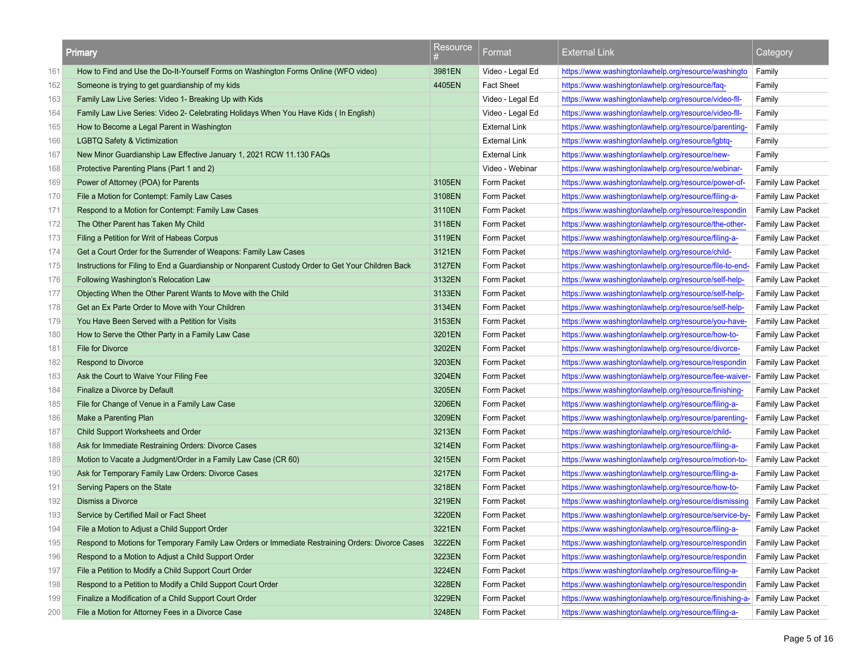|     | <b>Primary</b>                                                                                     | Resource | Format               | <b>External Link</b>                                    | Category                 |
|-----|----------------------------------------------------------------------------------------------------|----------|----------------------|---------------------------------------------------------|--------------------------|
| 161 | How to Find and Use the Do-It-Yourself Forms on Washington Forms Online (WFO video)                | 3981EN   | Video - Legal Ed     | https://www.washingtonlawhelp.org/resource/washingto    | Family                   |
| 162 | Someone is trying to get guardianship of my kids                                                   | 4405EN   | <b>Fact Sheet</b>    | https://www.washingtonlawhelp.org/resource/faq-         | Family                   |
| 163 | Family Law Live Series: Video 1- Breaking Up with Kids                                             |          | Video - Legal Ed     | https://www.washingtonlawhelp.org/resource/video-fll-   | Family                   |
| 164 | Family Law Live Series: Video 2- Celebrating Holidays When You Have Kids ( In English)             |          | Video - Legal Ed     | https://www.washingtonlawhelp.org/resource/video-fll-   | Family                   |
| 165 | How to Become a Legal Parent in Washington                                                         |          | <b>External Link</b> | https://www.washingtonlawhelp.org/resource/parenting-   | Family                   |
| 166 | <b>LGBTQ Safety &amp; Victimization</b>                                                            |          | <b>External Link</b> | https://www.washingtonlawhelp.org/resource/lgbtq-       | Family                   |
| 167 | New Minor Guardianship Law Effective January 1, 2021 RCW 11.130 FAQs                               |          | <b>External Link</b> | https://www.washingtonlawhelp.org/resource/new-         | Family                   |
| 168 | Protective Parenting Plans (Part 1 and 2)                                                          |          | Video - Webinar      | https://www.washingtonlawhelp.org/resource/webinar-     | Family                   |
| 169 | Power of Attorney (POA) for Parents                                                                | 3105EN   | Form Packet          | https://www.washingtonlawhelp.org/resource/power-of-    | <b>Family Law Packet</b> |
| 170 | File a Motion for Contempt: Family Law Cases                                                       | 3108EN   | Form Packet          | https://www.washingtonlawhelp.org/resource/filing-a-    | Family Law Packet        |
| 171 | Respond to a Motion for Contempt: Family Law Cases                                                 | 3110EN   | Form Packet          | https://www.washingtonlawhelp.org/resource/respondin    | <b>Family Law Packet</b> |
| 172 | The Other Parent has Taken My Child                                                                | 3118EN   | Form Packet          | https://www.washingtonlawhelp.org/resource/the-other-   | <b>Family Law Packet</b> |
| 173 | Filing a Petition for Writ of Habeas Corpus                                                        | 3119EN   | Form Packet          | https://www.washingtonlawhelp.org/resource/filing-a-    | <b>Family Law Packet</b> |
| 174 | Get a Court Order for the Surrender of Weapons: Family Law Cases                                   | 3121EN   | Form Packet          | https://www.washingtonlawhelp.org/resource/child-       | Family Law Packet        |
| 175 | Instructions for Filing to End a Guardianship or Nonparent Custody Order to Get Your Children Back | 3127EN   | Form Packet          | https://www.washingtonlawhelp.org/resource/file-to-end- | <b>Family Law Packet</b> |
| 176 | Following Washington's Relocation Law                                                              | 3132EN   | Form Packet          | https://www.washingtonlawhelp.org/resource/self-help-   | <b>Family Law Packet</b> |
| 177 | Objecting When the Other Parent Wants to Move with the Child                                       | 3133EN   | Form Packet          | https://www.washingtonlawhelp.org/resource/self-help-   | <b>Family Law Packet</b> |
| 178 | Get an Ex Parte Order to Move with Your Children                                                   | 3134EN   | Form Packet          | https://www.washingtonlawhelp.org/resource/self-help-   | <b>Family Law Packet</b> |
| 179 | You Have Been Served with a Petition for Visits                                                    | 3153EN   | Form Packet          | https://www.washingtonlawhelp.org/resource/you-have-    | Family Law Packet        |
| 180 | How to Serve the Other Party in a Family Law Case                                                  | 3201EN   | Form Packet          | https://www.washingtonlawhelp.org/resource/how-to-      | <b>Family Law Packet</b> |
| 181 | File for Divorce                                                                                   | 3202EN   | Form Packet          | https://www.washingtonlawhelp.org/resource/divorce-     | <b>Family Law Packet</b> |
| 182 | <b>Respond to Divorce</b>                                                                          | 3203EN   | Form Packet          | https://www.washingtonlawhelp.org/resource/respondin    | Family Law Packet        |
| 183 | Ask the Court to Waive Your Filing Fee                                                             | 3204EN   | Form Packet          | https://www.washingtonlawhelp.org/resource/fee-waiver-  | <b>Family Law Packet</b> |
| 184 | Finalize a Divorce by Default                                                                      | 3205EN   | Form Packet          | https://www.washingtonlawhelp.org/resource/finishing-   | Family Law Packet        |
| 185 | File for Change of Venue in a Family Law Case                                                      | 3206EN   | Form Packet          | https://www.washingtonlawhelp.org/resource/filing-a-    | <b>Family Law Packet</b> |
| 186 | Make a Parenting Plan                                                                              | 3209EN   | Form Packet          | https://www.washingtonlawhelp.org/resource/parenting-   | <b>Family Law Packet</b> |
| 187 | <b>Child Support Worksheets and Order</b>                                                          | 3213EN   | Form Packet          | https://www.washingtonlawhelp.org/resource/child-       | <b>Family Law Packet</b> |
| 188 | Ask for Immediate Restraining Orders: Divorce Cases                                                | 3214EN   | Form Packet          | https://www.washingtonlawhelp.org/resource/filing-a-    | <b>Family Law Packet</b> |
| 189 | Motion to Vacate a Judgment/Order in a Family Law Case (CR 60)                                     | 3215EN   | Form Packet          | https://www.washingtonlawhelp.org/resource/motion-to-   | <b>Family Law Packet</b> |
| 190 | Ask for Temporary Family Law Orders: Divorce Cases                                                 | 3217EN   | Form Packet          | https://www.washingtonlawhelp.org/resource/filing-a-    | <b>Family Law Packet</b> |
| 191 | Serving Papers on the State                                                                        | 3218EN   | Form Packet          | https://www.washingtonlawhelp.org/resource/how-to-      | <b>Family Law Packet</b> |
| 192 | Dismiss a Divorce                                                                                  | 3219EN   | Form Packet          | https://www.washingtonlawhelp.org/resource/dismissing   | <b>Family Law Packet</b> |
| 193 | Service by Certified Mail or Fact Sheet                                                            | 3220EN   | Form Packet          | https://www.washingtonlawhelp.org/resource/service-by-  | <b>Family Law Packet</b> |
| 194 | File a Motion to Adjust a Child Support Order                                                      | 3221EN   | Form Packet          | https://www.washingtonlawhelp.org/resource/filing-a-    | Family Law Packet        |
| 195 | Respond to Motions for Temporary Family Law Orders or Immediate Restraining Orders: Divorce Cases  | 3222EN   | Form Packet          | https://www.washingtonlawhelp.org/resource/respondin    | <b>Family Law Packet</b> |
| 196 | Respond to a Motion to Adjust a Child Support Order                                                | 3223EN   | Form Packet          | https://www.washingtonlawhelp.org/resource/respondin    | Family Law Packet        |
| 197 | File a Petition to Modify a Child Support Court Order                                              | 3224EN   | Form Packet          | https://www.washingtonlawhelp.org/resource/filing-a-    | <b>Family Law Packet</b> |
| 198 | Respond to a Petition to Modify a Child Support Court Order                                        | 3228EN   | Form Packet          | https://www.washingtonlawhelp.org/resource/respondin    | <b>Family Law Packet</b> |
| 199 | Finalize a Modification of a Child Support Court Order                                             | 3229EN   | Form Packet          | https://www.washingtonlawhelp.org/resource/finishing-a- | Family Law Packet        |
| 200 | File a Motion for Attorney Fees in a Divorce Case                                                  | 3248EN   | Form Packet          | https://www.washingtonlawhelp.org/resource/filing-a-    | Family Law Packet        |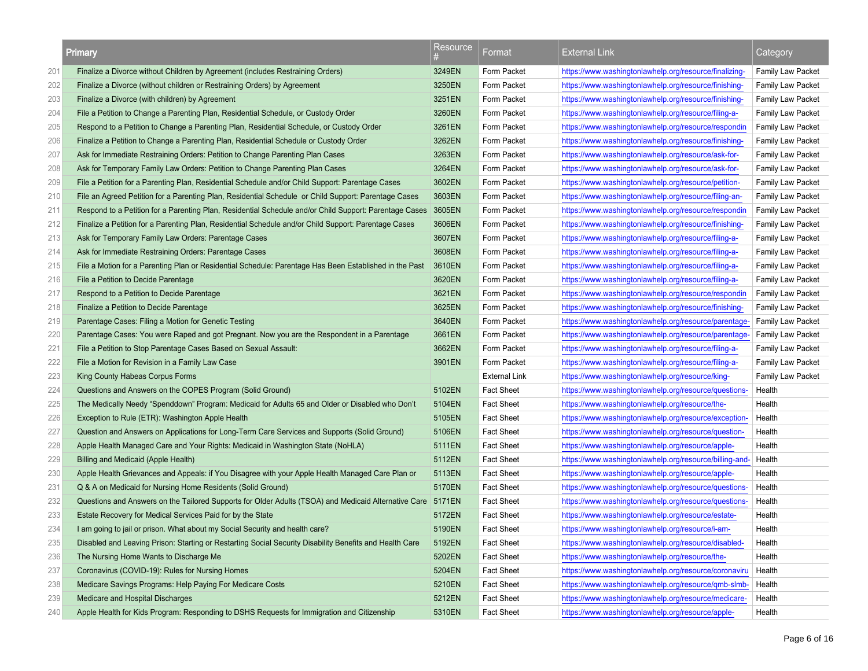|     | Primary                                                                                                     | Resource | Format               | <b>External Link</b>                                    | Category                 |
|-----|-------------------------------------------------------------------------------------------------------------|----------|----------------------|---------------------------------------------------------|--------------------------|
| 201 | Finalize a Divorce without Children by Agreement (includes Restraining Orders)                              | 3249EN   | Form Packet          | https://www.washingtonlawhelp.org/resource/finalizing-  | <b>Family Law Packet</b> |
| 202 | Finalize a Divorce (without children or Restraining Orders) by Agreement                                    | 3250EN   | Form Packet          | https://www.washingtonlawhelp.org/resource/finishing-   | <b>Family Law Packet</b> |
| 203 | Finalize a Divorce (with children) by Agreement                                                             | 3251EN   | Form Packet          | https://www.washingtonlawhelp.org/resource/finishing-   | Family Law Packet        |
| 204 | File a Petition to Change a Parenting Plan, Residential Schedule, or Custody Order                          | 3260EN   | Form Packet          | https://www.washingtonlawhelp.org/resource/filing-a-    | <b>Family Law Packet</b> |
| 205 | Respond to a Petition to Change a Parenting Plan, Residential Schedule, or Custody Order                    | 3261EN   | Form Packet          | https://www.washingtonlawhelp.org/resource/respondin    | <b>Family Law Packet</b> |
| 206 | Finalize a Petition to Change a Parenting Plan, Residential Schedule or Custody Order                       | 3262EN   | Form Packet          | https://www.washingtonlawhelp.org/resource/finishing-   | <b>Family Law Packet</b> |
| 207 | Ask for Immediate Restraining Orders: Petition to Change Parenting Plan Cases                               | 3263EN   | Form Packet          | https://www.washingtonlawhelp.org/resource/ask-for-     | Family Law Packet        |
| 208 | Ask for Temporary Family Law Orders: Petition to Change Parenting Plan Cases                                | 3264EN   | Form Packet          | https://www.washingtonlawhelp.org/resource/ask-for-     | <b>Family Law Packet</b> |
| 209 | File a Petition for a Parenting Plan, Residential Schedule and/or Child Support: Parentage Cases            | 3602EN   | Form Packet          | https://www.washingtonlawhelp.org/resource/petition-    | <b>Family Law Packet</b> |
| 210 | File an Agreed Petition for a Parenting Plan, Residential Schedule or Child Support: Parentage Cases        | 3603EN   | Form Packet          | https://www.washingtonlawhelp.org/resource/filing-an-   | <b>Family Law Packet</b> |
| 211 | Respond to a Petition for a Parenting Plan, Residential Schedule and/or Child Support: Parentage Cases      | 3605EN   | Form Packet          | https://www.washingtonlawhelp.org/resource/respondin    | <b>Family Law Packet</b> |
| 212 | Finalize a Petition for a Parenting Plan, Residential Schedule and/or Child Support: Parentage Cases        | 3606EN   | Form Packet          | https://www.washingtonlawhelp.org/resource/finishing-   | <b>Family Law Packet</b> |
| 213 | Ask for Temporary Family Law Orders: Parentage Cases                                                        | 3607EN   | Form Packet          | https://www.washingtonlawhelp.org/resource/filing-a-    | <b>Family Law Packet</b> |
| 214 | Ask for Immediate Restraining Orders: Parentage Cases                                                       | 3608EN   | Form Packet          | https://www.washingtonlawhelp.org/resource/filing-a-    | <b>Family Law Packet</b> |
| 215 | File a Motion for a Parenting Plan or Residential Schedule: Parentage Has Been Established in the Past      | 3610EN   | Form Packet          | https://www.washingtonlawhelp.org/resource/filing-a-    | <b>Family Law Packet</b> |
| 216 | File a Petition to Decide Parentage                                                                         | 3620EN   | Form Packet          | https://www.washingtonlawhelp.org/resource/filing-a-    | <b>Family Law Packet</b> |
| 217 | Respond to a Petition to Decide Parentage                                                                   | 3621EN   | Form Packet          | https://www.washingtonlawhelp.org/resource/respondin    | <b>Family Law Packet</b> |
| 218 | Finalize a Petition to Decide Parentage                                                                     | 3625EN   | Form Packet          | https://www.washingtonlawhelp.org/resource/finishing-   | <b>Family Law Packet</b> |
| 219 | Parentage Cases: Filing a Motion for Genetic Testing                                                        | 3640EN   | Form Packet          | https://www.washingtonlawhelp.org/resource/parentage-   | <b>Family Law Packet</b> |
| 220 | Parentage Cases: You were Raped and got Pregnant. Now you are the Respondent in a Parentage                 | 3661EN   | Form Packet          | https://www.washingtonlawhelp.org/resource/parentage-   | <b>Family Law Packet</b> |
| 221 | File a Petition to Stop Parentage Cases Based on Sexual Assault:                                            | 3662EN   | Form Packet          | https://www.washingtonlawhelp.org/resource/filing-a-    | <b>Family Law Packet</b> |
| 222 | File a Motion for Revision in a Family Law Case                                                             | 3901EN   | Form Packet          | https://www.washingtonlawhelp.org/resource/filing-a-    | <b>Family Law Packet</b> |
| 223 | King County Habeas Corpus Forms                                                                             |          | <b>External Link</b> | https://www.washingtonlawhelp.org/resource/king-        | Family Law Packet        |
| 224 | Questions and Answers on the COPES Program (Solid Ground)                                                   | 5102EN   | <b>Fact Sheet</b>    | https://www.washingtonlawhelp.org/resource/questions-   | Health                   |
| 225 | The Medically Needy "Spenddown" Program: Medicaid for Adults 65 and Older or Disabled who Don't             | 5104EN   | <b>Fact Sheet</b>    | https://www.washingtonlawhelp.org/resource/the-         | Health                   |
| 226 | Exception to Rule (ETR): Washington Apple Health                                                            | 5105EN   | <b>Fact Sheet</b>    | https://www.washingtonlawhelp.org/resource/exception-   | Health                   |
| 227 | Question and Answers on Applications for Long-Term Care Services and Supports (Solid Ground)                | 5106EN   | <b>Fact Sheet</b>    | https://www.washingtonlawhelp.org/resource/question-    | Health                   |
| 228 | Apple Health Managed Care and Your Rights: Medicaid in Washington State (NoHLA)                             | 5111EN   | <b>Fact Sheet</b>    | https://www.washingtonlawhelp.org/resource/apple-       | Health                   |
| 229 | Billing and Medicaid (Apple Health)                                                                         | 5112EN   | <b>Fact Sheet</b>    | https://www.washingtonlawhelp.org/resource/billing-and- | Health                   |
| 230 | Apple Health Grievances and Appeals: if You Disagree with your Apple Health Managed Care Plan or            | 5113EN   | <b>Fact Sheet</b>    | https://www.washingtonlawhelp.org/resource/apple-       | Health                   |
| 231 | Q & A on Medicaid for Nursing Home Residents (Solid Ground)                                                 | 5170EN   | <b>Fact Sheet</b>    | https://www.washingtonlawhelp.org/resource/questions-   | Health                   |
| 232 | Questions and Answers on the Tailored Supports for Older Adults (TSOA) and Medicaid Alternative Care 5171EN |          | <b>Fact Sheet</b>    | https://www.washingtonlawhelp.org/resource/questions-   | Health                   |
| 233 | Estate Recovery for Medical Services Paid for by the State                                                  | 5172EN   | <b>Fact Sheet</b>    | https://www.washingtonlawhelp.org/resource/estate-      | Health                   |
| 234 | I am going to jail or prison. What about my Social Security and health care?                                | 5190EN   | <b>Fact Sheet</b>    | https://www.washingtonlawhelp.org/resource/i-am-        | Health                   |
| 235 | Disabled and Leaving Prison: Starting or Restarting Social Security Disability Benefits and Health Care     | 5192EN   | <b>Fact Sheet</b>    | https://www.washingtonlawhelp.org/resource/disabled-    | Health                   |
| 236 | The Nursing Home Wants to Discharge Me                                                                      | 5202EN   | <b>Fact Sheet</b>    | https://www.washingtonlawhelp.org/resource/the-         | Health                   |
| 237 | Coronavirus (COVID-19): Rules for Nursing Homes                                                             | 5204EN   | <b>Fact Sheet</b>    | https://www.washingtonlawhelp.org/resource/coronaviru   | Health                   |
| 238 | Medicare Savings Programs: Help Paying For Medicare Costs                                                   | 5210EN   | <b>Fact Sheet</b>    | https://www.washingtonlawhelp.org/resource/qmb-slmb-    | Health                   |
| 239 | Medicare and Hospital Discharges                                                                            | 5212EN   | <b>Fact Sheet</b>    | https://www.washingtonlawhelp.org/resource/medicare-    | Health                   |
| 240 | Apple Health for Kids Program: Responding to DSHS Requests for Immigration and Citizenship                  | 5310EN   | <b>Fact Sheet</b>    | https://www.washingtonlawhelp.org/resource/apple-       | Health                   |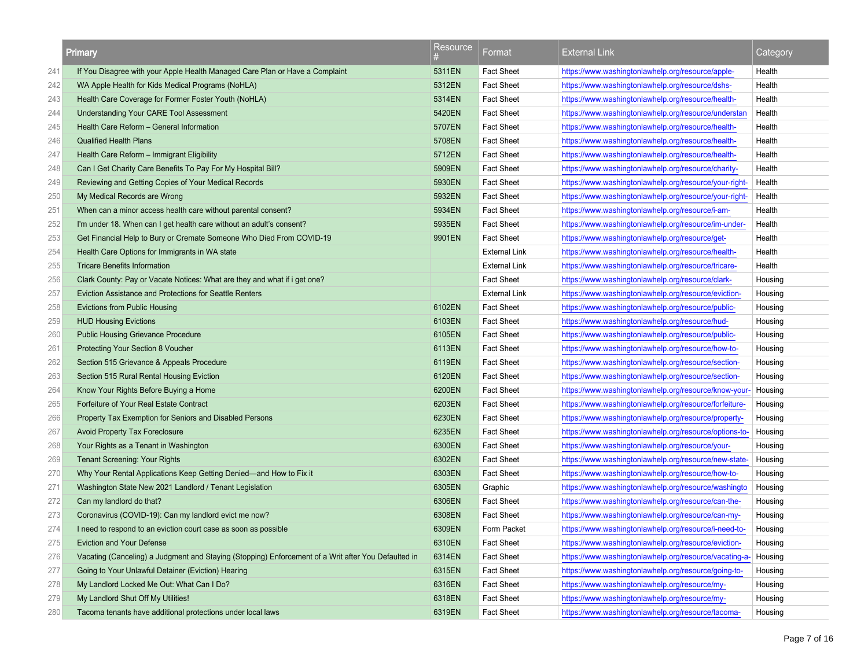|     | Primary                                                                                             | Resource | Format               | <b>External Link</b>                                   | Category |
|-----|-----------------------------------------------------------------------------------------------------|----------|----------------------|--------------------------------------------------------|----------|
| 241 | If You Disagree with your Apple Health Managed Care Plan or Have a Complaint                        | 5311EN   | <b>Fact Sheet</b>    | https://www.washingtonlawhelp.org/resource/apple-      | Health   |
| 242 | WA Apple Health for Kids Medical Programs (NoHLA)                                                   | 5312EN   | <b>Fact Sheet</b>    | https://www.washingtonlawhelp.org/resource/dshs-       | Health   |
| 243 | Health Care Coverage for Former Foster Youth (NoHLA)                                                | 5314EN   | <b>Fact Sheet</b>    | https://www.washingtonlawhelp.org/resource/health-     | Health   |
| 244 | Understanding Your CARE Tool Assessment                                                             | 5420EN   | <b>Fact Sheet</b>    | https://www.washingtonlawhelp.org/resource/understan   | Health   |
| 245 | Health Care Reform - General Information                                                            | 5707EN   | <b>Fact Sheet</b>    | https://www.washingtonlawhelp.org/resource/health-     | Health   |
| 246 | <b>Qualified Health Plans</b>                                                                       | 5708EN   | <b>Fact Sheet</b>    | https://www.washingtonlawhelp.org/resource/health-     | Health   |
| 247 | Health Care Reform - Immigrant Eligibility                                                          | 5712EN   | <b>Fact Sheet</b>    | https://www.washingtonlawhelp.org/resource/health-     | Health   |
| 248 | Can I Get Charity Care Benefits To Pay For My Hospital Bill?                                        | 5909EN   | <b>Fact Sheet</b>    | https://www.washingtonlawhelp.org/resource/charity-    | Health   |
| 249 | Reviewing and Getting Copies of Your Medical Records                                                | 5930EN   | <b>Fact Sheet</b>    | https://www.washingtonlawhelp.org/resource/your-right- | Health   |
| 250 | My Medical Records are Wrong                                                                        | 5932EN   | <b>Fact Sheet</b>    | https://www.washingtonlawhelp.org/resource/your-right- | Health   |
| 251 | When can a minor access health care without parental consent?                                       | 5934EN   | <b>Fact Sheet</b>    | https://www.washingtonlawhelp.org/resource/i-am-       | Health   |
| 252 | I'm under 18. When can I get health care without an adult's consent?                                | 5935EN   | <b>Fact Sheet</b>    | https://www.washingtonlawhelp.org/resource/im-under-   | Health   |
| 253 | Get Financial Help to Bury or Cremate Someone Who Died From COVID-19                                | 9901EN   | <b>Fact Sheet</b>    | https://www.washingtonlawhelp.org/resource/get-        | Health   |
| 254 | Health Care Options for Immigrants in WA state                                                      |          | <b>External Link</b> | https://www.washingtonlawhelp.org/resource/health-     | Health   |
| 255 | <b>Tricare Benefits Information</b>                                                                 |          | <b>External Link</b> | https://www.washingtonlawhelp.org/resource/tricare-    | Health   |
| 256 | Clark County: Pay or Vacate Notices: What are they and what if i get one?                           |          | <b>Fact Sheet</b>    | https://www.washingtonlawhelp.org/resource/clark-      | Housing  |
| 257 | Eviction Assistance and Protections for Seattle Renters                                             |          | <b>External Link</b> | https://www.washingtonlawhelp.org/resource/eviction-   | Housing  |
| 258 | Evictions from Public Housing                                                                       | 6102EN   | <b>Fact Sheet</b>    | https://www.washingtonlawhelp.org/resource/public-     | Housing  |
| 259 | <b>HUD Housing Evictions</b>                                                                        | 6103EN   | <b>Fact Sheet</b>    | https://www.washingtonlawhelp.org/resource/hud-        | Housing  |
| 260 | <b>Public Housing Grievance Procedure</b>                                                           | 6105EN   | <b>Fact Sheet</b>    | https://www.washingtonlawhelp.org/resource/public-     | Housing  |
| 261 | Protecting Your Section 8 Voucher                                                                   | 6113EN   | <b>Fact Sheet</b>    | https://www.washingtonlawhelp.org/resource/how-to-     | Housing  |
| 262 | Section 515 Grievance & Appeals Procedure                                                           | 6119EN   | <b>Fact Sheet</b>    | https://www.washingtonlawhelp.org/resource/section-    | Housing  |
| 263 | Section 515 Rural Rental Housing Eviction                                                           | 6120EN   | <b>Fact Sheet</b>    | https://www.washingtonlawhelp.org/resource/section-    | Housing  |
| 264 | Know Your Rights Before Buying a Home                                                               | 6200EN   | <b>Fact Sheet</b>    | https://www.washingtonlawhelp.org/resource/know-your-  | Housing  |
| 265 | Forfeiture of Your Real Estate Contract                                                             | 6203EN   | <b>Fact Sheet</b>    | https://www.washingtonlawhelp.org/resource/forfeiture- | Housing  |
| 266 | Property Tax Exemption for Seniors and Disabled Persons                                             | 6230EN   | <b>Fact Sheet</b>    | https://www.washingtonlawhelp.org/resource/property-   | Housing  |
| 267 | <b>Avoid Property Tax Foreclosure</b>                                                               | 6235EN   | <b>Fact Sheet</b>    | https://www.washingtonlawhelp.org/resource/options-to- | Housing  |
| 268 | Your Rights as a Tenant in Washington                                                               | 6300EN   | <b>Fact Sheet</b>    | https://www.washingtonlawhelp.org/resource/your-       | Housing  |
| 269 | <b>Tenant Screening: Your Rights</b>                                                                | 6302EN   | <b>Fact Sheet</b>    | https://www.washingtonlawhelp.org/resource/new-state-  | Housing  |
| 270 | Why Your Rental Applications Keep Getting Denied-and How to Fix it                                  | 6303EN   | <b>Fact Sheet</b>    | https://www.washingtonlawhelp.org/resource/how-to-     | Housing  |
| 271 | Washington State New 2021 Landlord / Tenant Legislation                                             | 6305EN   | Graphic              | https://www.washingtonlawhelp.org/resource/washingto   | Housing  |
| 272 | Can my landlord do that?                                                                            | 6306EN   | <b>Fact Sheet</b>    | https://www.washingtonlawhelp.org/resource/can-the-    | Housing  |
| 273 | Coronavirus (COVID-19): Can my landlord evict me now?                                               | 6308EN   | <b>Fact Sheet</b>    | https://www.washingtonlawhelp.org/resource/can-my-     | Housing  |
| 274 | I need to respond to an eviction court case as soon as possible                                     | 6309EN   | Form Packet          | https://www.washingtonlawhelp.org/resource/i-need-to-  | Housing  |
| 275 | Eviction and Your Defense                                                                           | 6310EN   | <b>Fact Sheet</b>    | https://www.washingtonlawhelp.org/resource/eviction-   | Housing  |
| 276 | Vacating (Canceling) a Judgment and Staying (Stopping) Enforcement of a Writ after You Defaulted in | 6314EN   | <b>Fact Sheet</b>    | https://www.washingtonlawhelp.org/resource/vacating-a- | Housing  |
| 277 | Going to Your Unlawful Detainer (Eviction) Hearing                                                  | 6315EN   | <b>Fact Sheet</b>    | https://www.washingtonlawhelp.org/resource/going-to-   | Housing  |
| 278 | My Landlord Locked Me Out: What Can I Do?                                                           | 6316EN   | <b>Fact Sheet</b>    | https://www.washingtonlawhelp.org/resource/my-         | Housing  |
| 279 | My Landlord Shut Off My Utilities!                                                                  | 6318EN   | <b>Fact Sheet</b>    | https://www.washingtonlawhelp.org/resource/my-         | Housing  |
| 280 | Tacoma tenants have additional protections under local laws                                         | 6319EN   | <b>Fact Sheet</b>    | https://www.washingtonlawhelp.org/resource/tacoma-     | Housing  |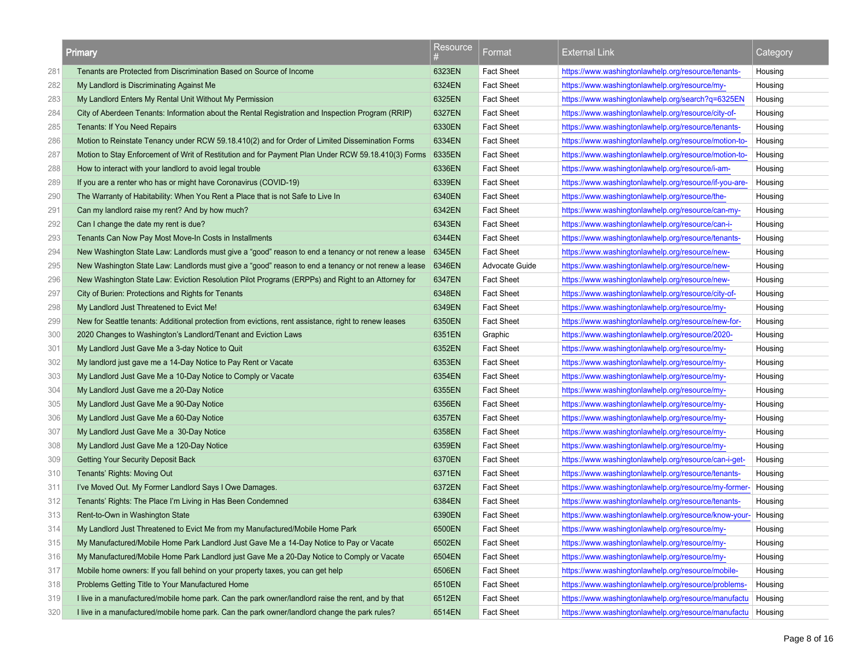|     | Primary                                                                                               | Resource | Format            | <b>External Link</b>                                   | Category |
|-----|-------------------------------------------------------------------------------------------------------|----------|-------------------|--------------------------------------------------------|----------|
| 281 | Tenants are Protected from Discrimination Based on Source of Income                                   | 6323EN   | <b>Fact Sheet</b> | https://www.washingtonlawhelp.org/resource/tenants-    | Housing  |
| 282 | My Landlord is Discriminating Against Me                                                              | 6324EN   | <b>Fact Sheet</b> | https://www.washingtonlawhelp.org/resource/my-         | Housing  |
| 283 | My Landlord Enters My Rental Unit Without My Permission                                               | 6325EN   | <b>Fact Sheet</b> | https://www.washingtonlawhelp.org/search?q=6325EN      | Housing  |
| 284 | City of Aberdeen Tenants: Information about the Rental Registration and Inspection Program (RRIP)     | 6327EN   | <b>Fact Sheet</b> | https://www.washingtonlawhelp.org/resource/city-of-    | Housing  |
| 285 | Tenants: If You Need Repairs                                                                          | 6330EN   | <b>Fact Sheet</b> | https://www.washingtonlawhelp.org/resource/tenants-    | Housing  |
| 286 | Motion to Reinstate Tenancy under RCW 59.18.410(2) and for Order of Limited Dissemination Forms       | 6334EN   | <b>Fact Sheet</b> | https://www.washingtonlawhelp.org/resource/motion-to-  | Housing  |
| 287 | Motion to Stay Enforcement of Writ of Restitution and for Payment Plan Under RCW 59.18.410(3) Forms   | 6335EN   | <b>Fact Sheet</b> | https://www.washingtonlawhelp.org/resource/motion-to-  | Housing  |
| 288 | How to interact with your landlord to avoid legal trouble                                             | 6336EN   | <b>Fact Sheet</b> | https://www.washingtonlawhelp.org/resource/i-am-       | Housing  |
| 289 | If you are a renter who has or might have Coronavirus (COVID-19)                                      | 6339EN   | <b>Fact Sheet</b> | https://www.washingtonlawhelp.org/resource/if-you-are- | Housing  |
| 290 | The Warranty of Habitability: When You Rent a Place that is not Safe to Live In                       | 6340EN   | <b>Fact Sheet</b> | https://www.washingtonlawhelp.org/resource/the-        | Housing  |
| 291 | Can my landlord raise my rent? And by how much?                                                       | 6342EN   | <b>Fact Sheet</b> | https://www.washingtonlawhelp.org/resource/can-my-     | Housing  |
| 292 | Can I change the date my rent is due?                                                                 | 6343EN   | <b>Fact Sheet</b> | https://www.washingtonlawhelp.org/resource/can-i-      | Housing  |
| 293 | Tenants Can Now Pay Most Move-In Costs in Installments                                                | 6344EN   | <b>Fact Sheet</b> | https://www.washingtonlawhelp.org/resource/tenants-    | Housing  |
| 294 | New Washington State Law: Landlords must give a "good" reason to end a tenancy or not renew a lease   | 6345EN   | <b>Fact Sheet</b> | https://www.washingtonlawhelp.org/resource/new-        | Housing  |
| 295 | New Washington State Law: Landlords must give a "good" reason to end a tenancy or not renew a lease   | 6346EN   | Advocate Guide    | https://www.washingtonlawhelp.org/resource/new-        | Housing  |
| 296 | New Washington State Law: Eviction Resolution Pilot Programs (ERPPs) and Right to an Attorney for     | 6347EN   | <b>Fact Sheet</b> | https://www.washingtonlawhelp.org/resource/new-        | Housing  |
| 297 | City of Burien: Protections and Rights for Tenants                                                    | 6348EN   | <b>Fact Sheet</b> | https://www.washingtonlawhelp.org/resource/city-of-    | Housing  |
| 298 | My Landlord Just Threatened to Evict Me!                                                              | 6349EN   | <b>Fact Sheet</b> | https://www.washingtonlawhelp.org/resource/my-         | Housing  |
| 299 | New for Seattle tenants: Additional protection from evictions, rent assistance, right to renew leases | 6350EN   | <b>Fact Sheet</b> | https://www.washingtonlawhelp.org/resource/new-for-    | Housing  |
| 300 | 2020 Changes to Washington's Landlord/Tenant and Eviction Laws                                        | 6351EN   | Graphic           | https://www.washingtonlawhelp.org/resource/2020-       | Housing  |
| 301 | My Landlord Just Gave Me a 3-day Notice to Quit                                                       | 6352EN   | <b>Fact Sheet</b> | https://www.washingtonlawhelp.org/resource/my-         | Housing  |
| 302 | My landlord just gave me a 14-Day Notice to Pay Rent or Vacate                                        | 6353EN   | <b>Fact Sheet</b> | https://www.washingtonlawhelp.org/resource/my-         | Housing  |
| 303 | My Landlord Just Gave Me a 10-Day Notice to Comply or Vacate                                          | 6354EN   | <b>Fact Sheet</b> | https://www.washingtonlawhelp.org/resource/my-         | Housing  |
| 304 | My Landlord Just Gave me a 20-Day Notice                                                              | 6355EN   | <b>Fact Sheet</b> | https://www.washingtonlawhelp.org/resource/my-         | Housing  |
| 305 | My Landlord Just Gave Me a 90-Day Notice                                                              | 6356EN   | <b>Fact Sheet</b> | https://www.washingtonlawhelp.org/resource/my-         | Housing  |
| 306 | My Landlord Just Gave Me a 60-Day Notice                                                              | 6357EN   | <b>Fact Sheet</b> | https://www.washingtonlawhelp.org/resource/my-         | Housing  |
| 307 | My Landlord Just Gave Me a 30-Day Notice                                                              | 6358EN   | <b>Fact Sheet</b> | https://www.washingtonlawhelp.org/resource/my-         | Housing  |
| 308 | My Landlord Just Gave Me a 120-Day Notice                                                             | 6359EN   | <b>Fact Sheet</b> | https://www.washingtonlawhelp.org/resource/my-         | Housing  |
| 309 | <b>Getting Your Security Deposit Back</b>                                                             | 6370EN   | <b>Fact Sheet</b> | https://www.washingtonlawhelp.org/resource/can-i-get-  | Housing  |
| 310 | Tenants' Rights: Moving Out                                                                           | 6371EN   | <b>Fact Sheet</b> | https://www.washingtonlawhelp.org/resource/tenants-    | Housing  |
| 311 | I've Moved Out. My Former Landlord Says I Owe Damages.                                                | 6372EN   | <b>Fact Sheet</b> | https://www.washingtonlawhelp.org/resource/my-former-  | Housing  |
| 312 | Tenants' Rights: The Place I'm Living in Has Been Condemned                                           | 6384EN   | <b>Fact Sheet</b> | https://www.washingtonlawhelp.org/resource/tenants-    | Housing  |
| 313 | Rent-to-Own in Washington State                                                                       | 6390EN   | <b>Fact Sheet</b> | https://www.washingtonlawhelp.org/resource/know-your-  | Housing  |
| 314 | My Landlord Just Threatened to Evict Me from my Manufactured/Mobile Home Park                         | 6500EN   | <b>Fact Sheet</b> | https://www.washingtonlawhelp.org/resource/my-         | Housing  |
| 315 | My Manufactured/Mobile Home Park Landlord Just Gave Me a 14-Day Notice to Pay or Vacate               | 6502EN   | <b>Fact Sheet</b> | https://www.washingtonlawhelp.org/resource/my-         | Housing  |
| 316 | My Manufactured/Mobile Home Park Landlord just Gave Me a 20-Day Notice to Comply or Vacate            | 6504EN   | <b>Fact Sheet</b> | https://www.washingtonlawhelp.org/resource/my-         | Housing  |
| 317 | Mobile home owners: If you fall behind on your property taxes, you can get help                       | 6506EN   | <b>Fact Sheet</b> | https://www.washingtonlawhelp.org/resource/mobile-     | Housing  |
| 318 | Problems Getting Title to Your Manufactured Home                                                      | 6510EN   | <b>Fact Sheet</b> | https://www.washingtonlawhelp.org/resource/problems-   | Housing  |
| 319 | I live in a manufactured/mobile home park. Can the park owner/landlord raise the rent, and by that    | 6512EN   | <b>Fact Sheet</b> | https://www.washingtonlawhelp.org/resource/manufactu   | Housing  |
| 320 | I live in a manufactured/mobile home park. Can the park owner/landlord change the park rules?         | 6514EN   | <b>Fact Sheet</b> | https://www.washingtonlawhelp.org/resource/manufactu   | Housing  |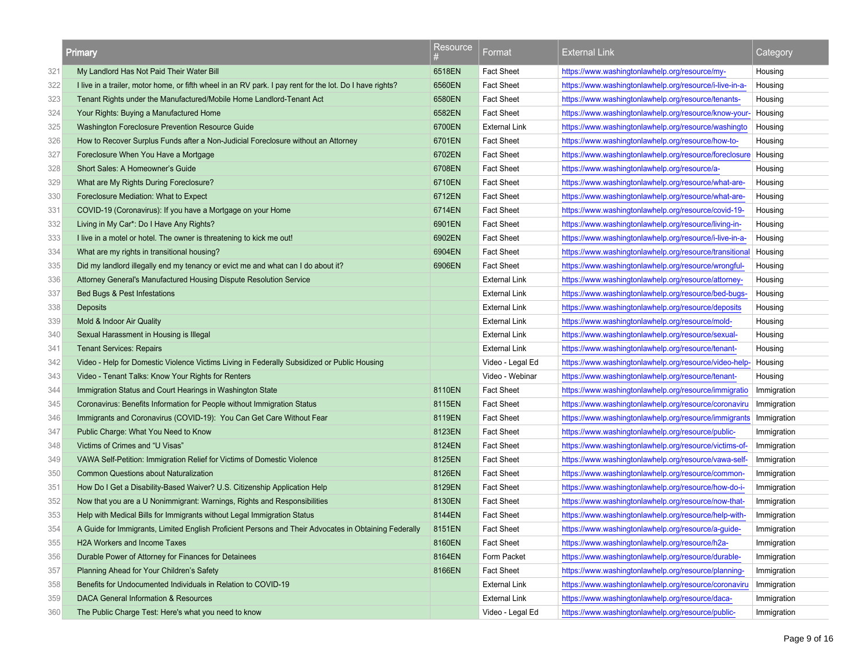|     | Primary                                                                                                  | Resource | Format               | <b>External Link</b>                                    | Category    |
|-----|----------------------------------------------------------------------------------------------------------|----------|----------------------|---------------------------------------------------------|-------------|
| 321 | My Landlord Has Not Paid Their Water Bill                                                                | 6518EN   | <b>Fact Sheet</b>    | https://www.washingtonlawhelp.org/resource/my-          | Housing     |
| 322 | I live in a trailer, motor home, or fifth wheel in an RV park. I pay rent for the lot. Do I have rights? | 6560EN   | <b>Fact Sheet</b>    | https://www.washingtonlawhelp.org/resource/i-live-in-a- | Housing     |
| 323 | Tenant Rights under the Manufactured/Mobile Home Landlord-Tenant Act                                     | 6580EN   | <b>Fact Sheet</b>    | https://www.washingtonlawhelp.org/resource/tenants-     | Housing     |
| 324 | Your Rights: Buying a Manufactured Home                                                                  | 6582EN   | <b>Fact Sheet</b>    | https://www.washingtonlawhelp.org/resource/know-your-   | Housing     |
| 325 | Washington Foreclosure Prevention Resource Guide                                                         | 6700EN   | <b>External Link</b> | https://www.washingtonlawhelp.org/resource/washingto    | Housing     |
| 326 | How to Recover Surplus Funds after a Non-Judicial Foreclosure without an Attorney                        | 6701EN   | <b>Fact Sheet</b>    | https://www.washingtonlawhelp.org/resource/how-to-      | Housing     |
| 327 | Foreclosure When You Have a Mortgage                                                                     | 6702EN   | <b>Fact Sheet</b>    | https://www.washingtonlawhelp.org/resource/foreclosure  | Housing     |
| 328 | Short Sales: A Homeowner's Guide                                                                         | 6708EN   | <b>Fact Sheet</b>    | https://www.washingtonlawhelp.org/resource/a-           | Housing     |
| 329 | What are My Rights During Foreclosure?                                                                   | 6710EN   | <b>Fact Sheet</b>    | https://www.washingtonlawhelp.org/resource/what-are-    | Housing     |
| 330 | Foreclosure Mediation: What to Expect                                                                    | 6712EN   | <b>Fact Sheet</b>    | https://www.washingtonlawhelp.org/resource/what-are-    | Housing     |
| 331 | COVID-19 (Coronavirus): If you have a Mortgage on your Home                                              | 6714EN   | <b>Fact Sheet</b>    | https://www.washingtonlawhelp.org/resource/covid-19-    | Housing     |
| 332 | Living in My Car <sup>*</sup> : Do I Have Any Rights?                                                    | 6901EN   | <b>Fact Sheet</b>    | https://www.washingtonlawhelp.org/resource/living-in-   | Housing     |
| 333 | I live in a motel or hotel. The owner is threatening to kick me out!                                     | 6902EN   | <b>Fact Sheet</b>    | https://www.washingtonlawhelp.org/resource/i-live-in-a- | Housing     |
| 334 | What are my rights in transitional housing?                                                              | 6904EN   | <b>Fact Sheet</b>    | https://www.washingtonlawhelp.org/resource/transitional | Housing     |
| 335 | Did my landlord illegally end my tenancy or evict me and what can I do about it?                         | 6906EN   | <b>Fact Sheet</b>    | https://www.washingtonlawhelp.org/resource/wrongful-    | Housing     |
| 336 | Attorney General's Manufactured Housing Dispute Resolution Service                                       |          | <b>External Link</b> | https://www.washingtonlawhelp.org/resource/attorney-    | Housing     |
| 337 | Bed Bugs & Pest Infestations                                                                             |          | <b>External Link</b> | https://www.washingtonlawhelp.org/resource/bed-bugs-    | Housing     |
| 338 | <b>Deposits</b>                                                                                          |          | <b>External Link</b> | https://www.washingtonlawhelp.org/resource/deposits     | Housing     |
| 339 | Mold & Indoor Air Quality                                                                                |          | <b>External Link</b> | https://www.washingtonlawhelp.org/resource/mold-        | Housing     |
| 340 | Sexual Harassment in Housing is Illegal                                                                  |          | <b>External Link</b> | https://www.washingtonlawhelp.org/resource/sexual-      | Housing     |
| 341 | <b>Tenant Services: Repairs</b>                                                                          |          | <b>External Link</b> | https://www.washingtonlawhelp.org/resource/tenant-      | Housing     |
| 342 | Video - Help for Domestic Violence Victims Living in Federally Subsidized or Public Housing              |          | Video - Legal Ed     | https://www.washingtonlawhelp.org/resource/video-help-  | Housing     |
| 343 | Video - Tenant Talks: Know Your Rights for Renters                                                       |          | Video - Webinar      | https://www.washingtonlawhelp.org/resource/tenant-      | Housing     |
| 344 | Immigration Status and Court Hearings in Washington State                                                | 8110EN   | <b>Fact Sheet</b>    | https://www.washingtonlawhelp.org/resource/immigratio   | Immigration |
| 345 | Coronavirus: Benefits Information for People without Immigration Status                                  | 8115EN   | <b>Fact Sheet</b>    | https://www.washingtonlawhelp.org/resource/coronaviru   | Immigration |
| 346 | Immigrants and Coronavirus (COVID-19): You Can Get Care Without Fear                                     | 8119EN   | <b>Fact Sheet</b>    | https://www.washingtonlawhelp.org/resource/immigrants   | Immigration |
| 347 | Public Charge: What You Need to Know                                                                     | 8123EN   | <b>Fact Sheet</b>    | https://www.washingtonlawhelp.org/resource/public-      | Immigration |
| 348 | Victims of Crimes and "U Visas"                                                                          | 8124EN   | <b>Fact Sheet</b>    | https://www.washingtonlawhelp.org/resource/victims-of-  | Immigration |
| 349 | VAWA Self-Petition: Immigration Relief for Victims of Domestic Violence                                  | 8125EN   | <b>Fact Sheet</b>    | https://www.washingtonlawhelp.org/resource/vawa-self-   | Immigration |
| 350 | <b>Common Questions about Naturalization</b>                                                             | 8126EN   | <b>Fact Sheet</b>    | https://www.washingtonlawhelp.org/resource/common-      | Immigration |
| 351 | How Do I Get a Disability-Based Waiver? U.S. Citizenship Application Help                                | 8129EN   | <b>Fact Sheet</b>    | https://www.washingtonlawhelp.org/resource/how-do-i-    | Immigration |
| 352 | Now that you are a U Nonimmigrant: Warnings, Rights and Responsibilities                                 | 8130EN   | <b>Fact Sheet</b>    | https://www.washingtonlawhelp.org/resource/now-that-    | Immigration |
| 353 | Help with Medical Bills for Immigrants without Legal Immigration Status                                  | 8144EN   | <b>Fact Sheet</b>    | https://www.washingtonlawhelp.org/resource/help-with-   | Immigration |
| 354 | A Guide for Immigrants, Limited English Proficient Persons and Their Advocates in Obtaining Federally    | 8151EN   | <b>Fact Sheet</b>    | https://www.washingtonlawhelp.org/resource/a-guide-     | Immigration |
| 355 | H2A Workers and Income Taxes                                                                             | 8160EN   | <b>Fact Sheet</b>    | https://www.washingtonlawhelp.org/resource/h2a-         | Immigration |
| 356 | Durable Power of Attorney for Finances for Detainees                                                     | 8164EN   | Form Packet          | https://www.washingtonlawhelp.org/resource/durable-     | Immigration |
| 357 | Planning Ahead for Your Children's Safety                                                                | 8166EN   | <b>Fact Sheet</b>    | https://www.washingtonlawhelp.org/resource/planning-    | Immigration |
| 358 | Benefits for Undocumented Individuals in Relation to COVID-19                                            |          | <b>External Link</b> | https://www.washingtonlawhelp.org/resource/coronaviru   | Immigration |
| 359 | DACA General Information & Resources                                                                     |          | <b>External Link</b> | https://www.washingtonlawhelp.org/resource/daca-        | Immigration |
| 360 | The Public Charge Test: Here's what you need to know                                                     |          | Video - Legal Ed     | https://www.washingtonlawhelp.org/resource/public-      | Immigration |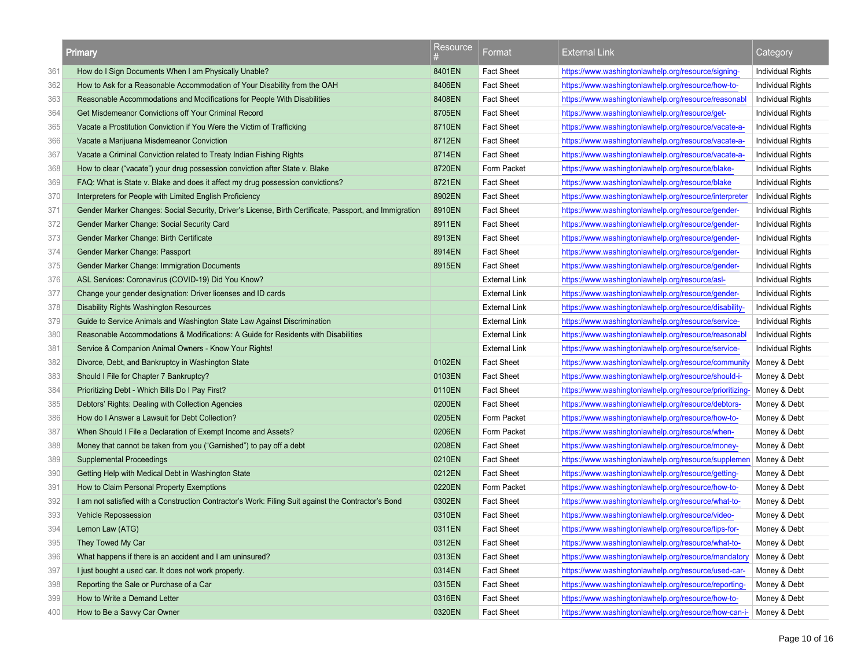|     | Primary                                                                                                | Resource | Format               | <b>External Link</b>                                     | Category                 |
|-----|--------------------------------------------------------------------------------------------------------|----------|----------------------|----------------------------------------------------------|--------------------------|
| 361 | How do I Sign Documents When I am Physically Unable?                                                   | 8401EN   | <b>Fact Sheet</b>    | https://www.washingtonlawhelp.org/resource/signing-      | Individual Rights        |
| 362 | How to Ask for a Reasonable Accommodation of Your Disability from the OAH                              | 8406EN   | <b>Fact Sheet</b>    | https://www.washingtonlawhelp.org/resource/how-to-       | Individual Rights        |
| 363 | Reasonable Accommodations and Modifications for People With Disabilities                               | 8408EN   | <b>Fact Sheet</b>    | https://www.washingtonlawhelp.org/resource/reasonabl     | Individual Rights        |
| 364 | Get Misdemeanor Convictions off Your Criminal Record                                                   | 8705EN   | <b>Fact Sheet</b>    | https://www.washingtonlawhelp.org/resource/get-          | Individual Rights        |
| 365 | Vacate a Prostitution Conviction if You Were the Victim of Trafficking                                 | 8710EN   | <b>Fact Sheet</b>    | https://www.washingtonlawhelp.org/resource/vacate-a-     | Individual Rights        |
| 366 | Vacate a Marijuana Misdemeanor Conviction                                                              | 8712EN   | <b>Fact Sheet</b>    | https://www.washingtonlawhelp.org/resource/vacate-a-     | Individual Rights        |
| 367 | Vacate a Criminal Conviction related to Treaty Indian Fishing Rights                                   | 8714EN   | <b>Fact Sheet</b>    | https://www.washingtonlawhelp.org/resource/vacate-a-     | Individual Rights        |
| 368 | How to clear ("vacate") your drug possession conviction after State v. Blake                           | 8720EN   | Form Packet          | https://www.washingtonlawhelp.org/resource/blake-        | Individual Rights        |
| 369 | FAQ: What is State v. Blake and does it affect my drug possession convictions?                         | 8721EN   | <b>Fact Sheet</b>    | https://www.washingtonlawhelp.org/resource/blake         | Individual Rights        |
| 370 | Interpreters for People with Limited English Proficiency                                               | 8902EN   | <b>Fact Sheet</b>    | https://www.washingtonlawhelp.org/resource/interpreter   | <b>Individual Rights</b> |
| 371 | Gender Marker Changes: Social Security, Driver's License, Birth Certificate, Passport, and Immigration | 8910EN   | <b>Fact Sheet</b>    | https://www.washingtonlawhelp.org/resource/gender-       | Individual Rights        |
| 372 | Gender Marker Change: Social Security Card                                                             | 8911EN   | <b>Fact Sheet</b>    | https://www.washingtonlawhelp.org/resource/gender-       | Individual Rights        |
| 373 | Gender Marker Change: Birth Certificate                                                                | 8913EN   | <b>Fact Sheet</b>    | https://www.washingtonlawhelp.org/resource/gender-       | Individual Rights        |
| 374 | Gender Marker Change: Passport                                                                         | 8914EN   | <b>Fact Sheet</b>    | https://www.washingtonlawhelp.org/resource/gender-       | Individual Rights        |
| 375 | Gender Marker Change: Immigration Documents                                                            | 8915EN   | <b>Fact Sheet</b>    | https://www.washingtonlawhelp.org/resource/gender-       | Individual Rights        |
| 376 | ASL Services: Coronavirus (COVID-19) Did You Know?                                                     |          | <b>External Link</b> | https://www.washingtonlawhelp.org/resource/asl-          | Individual Rights        |
| 377 | Change your gender designation: Driver licenses and ID cards                                           |          | <b>External Link</b> | https://www.washingtonlawhelp.org/resource/gender-       | Individual Rights        |
| 378 | Disability Rights Washington Resources                                                                 |          | <b>External Link</b> | https://www.washingtonlawhelp.org/resource/disability-   | Individual Rights        |
| 379 | Guide to Service Animals and Washington State Law Against Discrimination                               |          | <b>External Link</b> | https://www.washingtonlawhelp.org/resource/service-      | Individual Rights        |
| 380 | Reasonable Accommodations & Modifications: A Guide for Residents with Disabilities                     |          | <b>External Link</b> | https://www.washingtonlawhelp.org/resource/reasonabl     | Individual Rights        |
| 381 | Service & Companion Animal Owners - Know Your Rights!                                                  |          | <b>External Link</b> | https://www.washingtonlawhelp.org/resource/service-      | <b>Individual Rights</b> |
| 382 | Divorce, Debt, and Bankruptcy in Washington State                                                      | 0102EN   | <b>Fact Sheet</b>    | https://www.washingtonlawhelp.org/resource/community     | Money & Debt             |
| 383 | Should I File for Chapter 7 Bankruptcy?                                                                | 0103EN   | <b>Fact Sheet</b>    | https://www.washingtonlawhelp.org/resource/should-i-     | Money & Debt             |
| 384 | Prioritizing Debt - Which Bills Do I Pay First?                                                        | 0110EN   | <b>Fact Sheet</b>    | https://www.washingtonlawhelp.org/resource/prioritizing- | Money & Debt             |
| 385 | Debtors' Rights: Dealing with Collection Agencies                                                      | 0200EN   | <b>Fact Sheet</b>    | https://www.washingtonlawhelp.org/resource/debtors-      | Money & Debt             |
| 386 | How do I Answer a Lawsuit for Debt Collection?                                                         | 0205EN   | Form Packet          | https://www.washingtonlawhelp.org/resource/how-to-       | Money & Debt             |
| 387 | When Should I File a Declaration of Exempt Income and Assets?                                          | 0206EN   | Form Packet          | https://www.washingtonlawhelp.org/resource/when-         | Money & Debt             |
| 388 | Money that cannot be taken from you ("Garnished") to pay off a debt                                    | 0208EN   | <b>Fact Sheet</b>    | https://www.washingtonlawhelp.org/resource/money-        | Money & Debt             |
| 389 | <b>Supplemental Proceedings</b>                                                                        | 0210EN   | <b>Fact Sheet</b>    | https://www.washingtonlawhelp.org/resource/supplemen     | Money & Debt             |
| 390 | Getting Help with Medical Debt in Washington State                                                     | 0212EN   | <b>Fact Sheet</b>    | https://www.washingtonlawhelp.org/resource/getting-      | Money & Debt             |
| 391 | How to Claim Personal Property Exemptions                                                              | 0220EN   | Form Packet          | https://www.washingtonlawhelp.org/resource/how-to-       | Money & Debt             |
| 392 | I am not satisfied with a Construction Contractor's Work: Filing Suit against the Contractor's Bond    | 0302EN   | <b>Fact Sheet</b>    | https://www.washingtonlawhelp.org/resource/what-to-      | Money & Debt             |
| 393 | <b>Vehicle Repossession</b>                                                                            | 0310EN   | <b>Fact Sheet</b>    | https://www.washingtonlawhelp.org/resource/video-        | Money & Debt             |
| 394 | Lemon Law (ATG)                                                                                        | 0311EN   | <b>Fact Sheet</b>    | https://www.washingtonlawhelp.org/resource/tips-for-     | Money & Debt             |
| 395 | They Towed My Car                                                                                      | 0312EN   | <b>Fact Sheet</b>    | https://www.washingtonlawhelp.org/resource/what-to-      | Money & Debt             |
| 396 | What happens if there is an accident and I am uninsured?                                               | 0313EN   | <b>Fact Sheet</b>    | https://www.washingtonlawhelp.org/resource/mandatory     | Money & Debt             |
| 397 | I just bought a used car. It does not work properly.                                                   | 0314EN   | <b>Fact Sheet</b>    | https://www.washingtonlawhelp.org/resource/used-car-     | Money & Debt             |
| 398 | Reporting the Sale or Purchase of a Car                                                                | 0315EN   | <b>Fact Sheet</b>    | https://www.washingtonlawhelp.org/resource/reporting-    | Money & Debt             |
| 399 | How to Write a Demand Letter                                                                           | 0316EN   | <b>Fact Sheet</b>    | https://www.washingtonlawhelp.org/resource/how-to-       | Money & Debt             |
| 400 | How to Be a Savvy Car Owner                                                                            | 0320EN   | <b>Fact Sheet</b>    | https://www.washingtonlawhelp.org/resource/how-can-i-    | Money & Debt             |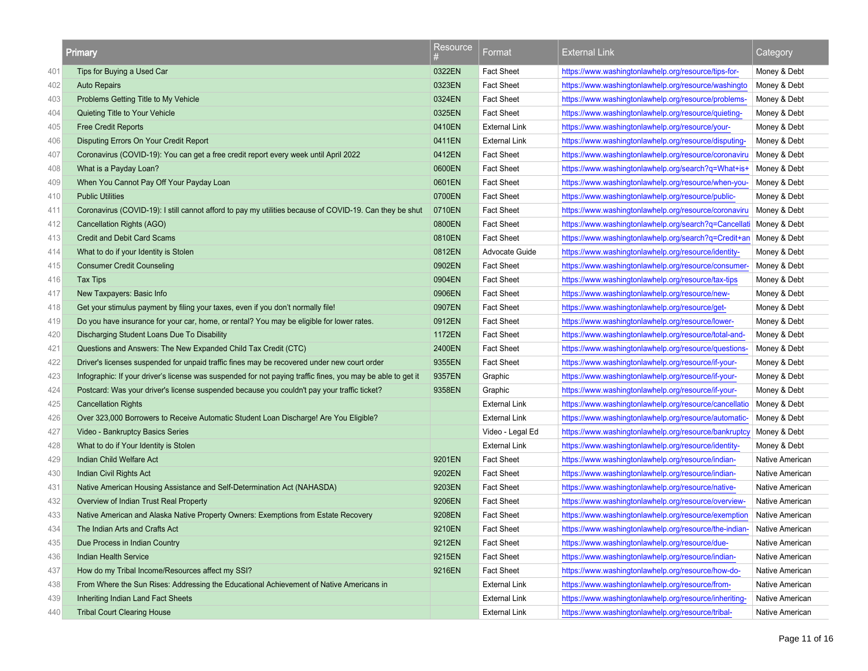|     | Primary                                                                                                     | Resource | <b>Format</b>        | <b>External Link</b>                                   | Category        |
|-----|-------------------------------------------------------------------------------------------------------------|----------|----------------------|--------------------------------------------------------|-----------------|
| 401 | Tips for Buying a Used Car                                                                                  | 0322EN   | <b>Fact Sheet</b>    | https://www.washingtonlawhelp.org/resource/tips-for-   | Money & Debt    |
| 402 | <b>Auto Repairs</b>                                                                                         | 0323EN   | <b>Fact Sheet</b>    | https://www.washingtonlawhelp.org/resource/washingto   | Money & Debt    |
| 403 | Problems Getting Title to My Vehicle                                                                        | 0324EN   | <b>Fact Sheet</b>    | https://www.washingtonlawhelp.org/resource/problems-   | Money & Debt    |
| 404 | Quieting Title to Your Vehicle                                                                              | 0325EN   | <b>Fact Sheet</b>    | https://www.washingtonlawhelp.org/resource/quieting-   | Money & Debt    |
| 405 | <b>Free Credit Reports</b>                                                                                  | 0410EN   | <b>External Link</b> | https://www.washingtonlawhelp.org/resource/your-       | Money & Debt    |
| 406 | Disputing Errors On Your Credit Report                                                                      | 0411EN   | <b>External Link</b> | https://www.washingtonlawhelp.org/resource/disputing-  | Money & Debt    |
| 407 | Coronavirus (COVID-19): You can get a free credit report every week until April 2022                        | 0412EN   | <b>Fact Sheet</b>    | https://www.washingtonlawhelp.org/resource/coronaviru  | Money & Debt    |
| 408 | What is a Payday Loan?                                                                                      | 0600EN   | <b>Fact Sheet</b>    | https://www.washingtonlawhelp.org/search?q=What+is+    | Money & Debt    |
| 409 | When You Cannot Pay Off Your Payday Loan                                                                    | 0601EN   | <b>Fact Sheet</b>    | https://www.washingtonlawhelp.org/resource/when-you-   | Money & Debt    |
| 410 | <b>Public Utilities</b>                                                                                     | 0700EN   | <b>Fact Sheet</b>    | https://www.washingtonlawhelp.org/resource/public-     | Money & Debt    |
| 411 | Coronavirus (COVID-19): I still cannot afford to pay my utilities because of COVID-19. Can they be shut     | 0710EN   | <b>Fact Sheet</b>    | https://www.washingtonlawhelp.org/resource/coronaviru  | Money & Debt    |
| 412 | Cancellation Rights (AGO)                                                                                   | 0800EN   | <b>Fact Sheet</b>    | https://www.washingtonlawhelp.org/search?q=Cancellati  | Money & Debt    |
| 413 | <b>Credit and Debit Card Scams</b>                                                                          | 0810EN   | <b>Fact Sheet</b>    | https://www.washingtonlawhelp.org/search?q=Credit+an   | Money & Debt    |
| 414 | What to do if your Identity is Stolen                                                                       | 0812EN   | Advocate Guide       | https://www.washingtonlawhelp.org/resource/identity-   | Money & Debt    |
| 415 | <b>Consumer Credit Counseling</b>                                                                           | 0902EN   | <b>Fact Sheet</b>    | https://www.washingtonlawhelp.org/resource/consumer-   | Money & Debt    |
| 416 | <b>Tax Tips</b>                                                                                             | 0904EN   | <b>Fact Sheet</b>    | https://www.washingtonlawhelp.org/resource/tax-tips    | Money & Debt    |
| 417 | New Taxpayers: Basic Info                                                                                   | 0906EN   | <b>Fact Sheet</b>    | https://www.washingtonlawhelp.org/resource/new-        | Money & Debt    |
| 418 | Get your stimulus payment by filing your taxes, even if you don't normally file!                            | 0907EN   | <b>Fact Sheet</b>    | https://www.washingtonlawhelp.org/resource/get-        | Money & Debt    |
| 419 | Do you have insurance for your car, home, or rental? You may be eligible for lower rates.                   | 0912EN   | <b>Fact Sheet</b>    | https://www.washingtonlawhelp.org/resource/lower-      | Money & Debt    |
| 420 | Discharging Student Loans Due To Disability                                                                 | 1172EN   | <b>Fact Sheet</b>    | https://www.washingtonlawhelp.org/resource/total-and-  | Money & Debt    |
| 421 | Questions and Answers: The New Expanded Child Tax Credit (CTC)                                              | 2400EN   | <b>Fact Sheet</b>    | https://www.washingtonlawhelp.org/resource/questions-  | Money & Debt    |
| 422 | Driver's licenses suspended for unpaid traffic fines may be recovered under new court order                 | 9355EN   | <b>Fact Sheet</b>    | https://www.washingtonlawhelp.org/resource/if-your-    | Money & Debt    |
| 423 | Infographic: If your driver's license was suspended for not paying traffic fines, you may be able to get it | 9357EN   | Graphic              | https://www.washingtonlawhelp.org/resource/if-your-    | Money & Debt    |
| 424 | Postcard: Was your driver's license suspended because you couldn't pay your traffic ticket?                 | 9358EN   | Graphic              | https://www.washingtonlawhelp.org/resource/if-your-    | Money & Debt    |
| 425 | <b>Cancellation Rights</b>                                                                                  |          | <b>External Link</b> | https://www.washingtonlawhelp.org/resource/cancellatio | Money & Debt    |
| 426 | Over 323,000 Borrowers to Receive Automatic Student Loan Discharge! Are You Eligible?                       |          | <b>External Link</b> | https://www.washingtonlawhelp.org/resource/automatic-  | Money & Debt    |
| 427 | Video - Bankruptcy Basics Series                                                                            |          | Video - Legal Ed     | https://www.washingtonlawhelp.org/resource/bankruptcy  | Money & Debt    |
| 428 | What to do if Your Identity is Stolen                                                                       |          | <b>External Link</b> | https://www.washingtonlawhelp.org/resource/identity-   | Money & Debt    |
| 429 | Indian Child Welfare Act                                                                                    | 9201EN   | <b>Fact Sheet</b>    | https://www.washingtonlawhelp.org/resource/indian-     | Native American |
| 430 | Indian Civil Rights Act                                                                                     | 9202EN   | <b>Fact Sheet</b>    | https://www.washingtonlawhelp.org/resource/indian-     | Native American |
| 431 | Native American Housing Assistance and Self-Determination Act (NAHASDA)                                     | 9203EN   | <b>Fact Sheet</b>    | https://www.washingtonlawhelp.org/resource/native-     | Native American |
| 432 | Overview of Indian Trust Real Property                                                                      | 9206EN   | <b>Fact Sheet</b>    | https://www.washingtonlawhelp.org/resource/overview-   | Native American |
| 433 | Native American and Alaska Native Property Owners: Exemptions from Estate Recovery                          | 9208EN   | <b>Fact Sheet</b>    | https://www.washingtonlawhelp.org/resource/exemption   | Native American |
| 434 | The Indian Arts and Crafts Act                                                                              | 9210EN   | <b>Fact Sheet</b>    | https://www.washingtonlawhelp.org/resource/the-indian- | Native American |
| 435 | Due Process in Indian Country                                                                               | 9212EN   | <b>Fact Sheet</b>    | https://www.washingtonlawhelp.org/resource/due-        | Native American |
| 436 | <b>Indian Health Service</b>                                                                                | 9215EN   | <b>Fact Sheet</b>    | https://www.washingtonlawhelp.org/resource/indian-     | Native American |
| 437 | How do my Tribal Income/Resources affect my SSI?                                                            | 9216EN   | <b>Fact Sheet</b>    | https://www.washingtonlawhelp.org/resource/how-do-     | Native American |
| 438 | From Where the Sun Rises: Addressing the Educational Achievement of Native Americans in                     |          | <b>External Link</b> | https://www.washingtonlawhelp.org/resource/from-       | Native American |
| 439 | Inheriting Indian Land Fact Sheets                                                                          |          | <b>External Link</b> | https://www.washingtonlawhelp.org/resource/inheriting- | Native American |
| 440 | <b>Tribal Court Clearing House</b>                                                                          |          | <b>External Link</b> | https://www.washingtonlawhelp.org/resource/tribal-     | Native American |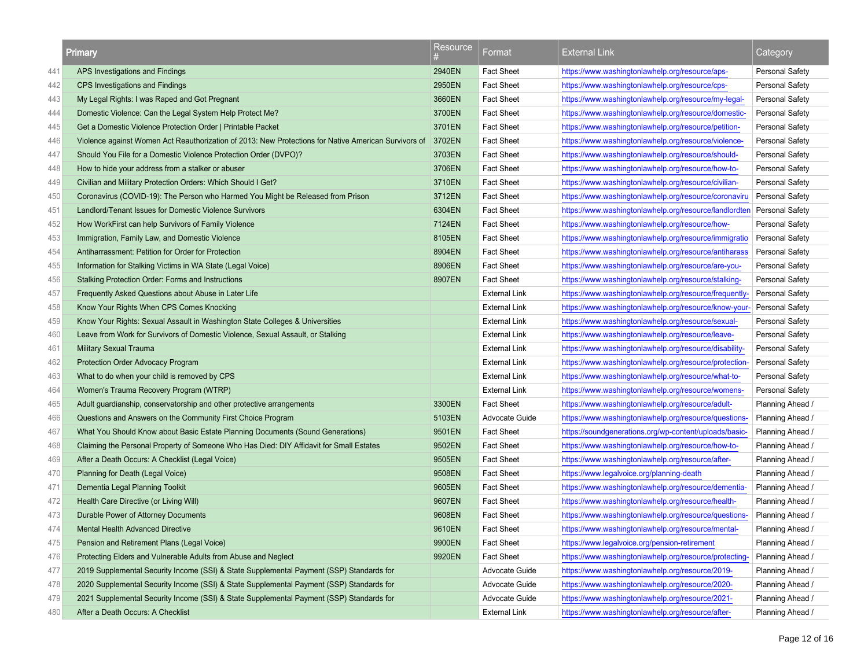|     | Primary                                                                                              | Resource | <u>Format</u>        | <b>External Link</b>                                   | Category               |
|-----|------------------------------------------------------------------------------------------------------|----------|----------------------|--------------------------------------------------------|------------------------|
| 441 | APS Investigations and Findings                                                                      | 2940EN   | <b>Fact Sheet</b>    | https://www.washingtonlawhelp.org/resource/aps-        | Personal Safety        |
| 442 | <b>CPS Investigations and Findings</b>                                                               | 2950EN   | <b>Fact Sheet</b>    | https://www.washingtonlawhelp.org/resource/cps-        | Personal Safety        |
| 443 | My Legal Rights: I was Raped and Got Pregnant                                                        | 3660EN   | <b>Fact Sheet</b>    | https://www.washingtonlawhelp.org/resource/my-legal-   | Personal Safety        |
| 444 | Domestic Violence: Can the Legal System Help Protect Me?                                             | 3700EN   | <b>Fact Sheet</b>    | https://www.washingtonlawhelp.org/resource/domestic-   | Personal Safety        |
| 445 | Get a Domestic Violence Protection Order   Printable Packet                                          | 3701EN   | <b>Fact Sheet</b>    | https://www.washingtonlawhelp.org/resource/petition-   | Personal Safety        |
| 446 | Violence against Women Act Reauthorization of 2013: New Protections for Native American Survivors of | 3702EN   | <b>Fact Sheet</b>    | https://www.washingtonlawhelp.org/resource/violence-   | <b>Personal Safety</b> |
| 447 | Should You File for a Domestic Violence Protection Order (DVPO)?                                     | 3703EN   | <b>Fact Sheet</b>    | https://www.washingtonlawhelp.org/resource/should-     | Personal Safety        |
| 448 | How to hide your address from a stalker or abuser                                                    | 3706EN   | <b>Fact Sheet</b>    | https://www.washingtonlawhelp.org/resource/how-to-     | <b>Personal Safety</b> |
| 449 | Civilian and Military Protection Orders: Which Should I Get?                                         | 3710EN   | <b>Fact Sheet</b>    | https://www.washingtonlawhelp.org/resource/civilian-   | Personal Safety        |
| 450 | Coronavirus (COVID-19): The Person who Harmed You Might be Released from Prison                      | 3712EN   | <b>Fact Sheet</b>    | https://www.washingtonlawhelp.org/resource/coronaviru  | Personal Safety        |
| 451 | Landlord/Tenant Issues for Domestic Violence Survivors                                               | 6304EN   | <b>Fact Sheet</b>    | https://www.washingtonlawhelp.org/resource/landlordten | <b>Personal Safety</b> |
| 452 | How WorkFirst can help Survivors of Family Violence                                                  | 7124EN   | <b>Fact Sheet</b>    | https://www.washingtonlawhelp.org/resource/how-        | Personal Safety        |
| 453 | Immigration, Family Law, and Domestic Violence                                                       | 8105EN   | <b>Fact Sheet</b>    | https://www.washingtonlawhelp.org/resource/immigratio  | <b>Personal Safety</b> |
| 454 | Antiharrassment: Petition for Order for Protection                                                   | 8904EN   | <b>Fact Sheet</b>    | https://www.washingtonlawhelp.org/resource/antiharass  | Personal Safety        |
| 455 | Information for Stalking Victims in WA State (Legal Voice)                                           | 8906EN   | <b>Fact Sheet</b>    | https://www.washingtonlawhelp.org/resource/are-you-    | <b>Personal Safety</b> |
| 456 | Stalking Protection Order: Forms and Instructions                                                    | 8907EN   | <b>Fact Sheet</b>    | https://www.washingtonlawhelp.org/resource/stalking-   | <b>Personal Safety</b> |
| 457 | Frequently Asked Questions about Abuse in Later Life                                                 |          | <b>External Link</b> | https://www.washingtonlawhelp.org/resource/frequently- | <b>Personal Safety</b> |
| 458 | Know Your Rights When CPS Comes Knocking                                                             |          | <b>External Link</b> | https://www.washingtonlawhelp.org/resource/know-your-  | <b>Personal Safety</b> |
| 459 | Know Your Rights: Sexual Assault in Washington State Colleges & Universities                         |          | <b>External Link</b> | https://www.washingtonlawhelp.org/resource/sexual-     | Personal Safety        |
| 460 | Leave from Work for Survivors of Domestic Violence, Sexual Assault, or Stalking                      |          | <b>External Link</b> | https://www.washingtonlawhelp.org/resource/leave-      | <b>Personal Safety</b> |
| 461 | Military Sexual Trauma                                                                               |          | <b>External Link</b> | https://www.washingtonlawhelp.org/resource/disability- | Personal Safety        |
| 462 | <b>Protection Order Advocacy Program</b>                                                             |          | <b>External Link</b> | https://www.washingtonlawhelp.org/resource/protection- | <b>Personal Safety</b> |
| 463 | What to do when your child is removed by CPS                                                         |          | <b>External Link</b> | https://www.washingtonlawhelp.org/resource/what-to-    | <b>Personal Safety</b> |
| 464 | Women's Trauma Recovery Program (WTRP)                                                               |          | <b>External Link</b> | https://www.washingtonlawhelp.org/resource/womens-     | Personal Safety        |
| 465 | Adult guardianship, conservatorship and other protective arrangements                                | 3300EN   | <b>Fact Sheet</b>    | https://www.washingtonlawhelp.org/resource/adult-      | Planning Ahead /       |
| 466 | Questions and Answers on the Community First Choice Program                                          | 5103EN   | Advocate Guide       | https://www.washingtonlawhelp.org/resource/questions-  | Planning Ahead /       |
| 467 | What You Should Know about Basic Estate Planning Documents (Sound Generations)                       | 9501EN   | <b>Fact Sheet</b>    | https://soundgenerations.org/wp-content/uploads/basic- | Planning Ahead /       |
| 468 | Claiming the Personal Property of Someone Who Has Died: DIY Affidavit for Small Estates              | 9502EN   | <b>Fact Sheet</b>    | https://www.washingtonlawhelp.org/resource/how-to-     | Planning Ahead /       |
| 469 | After a Death Occurs: A Checklist (Legal Voice)                                                      | 9505EN   | <b>Fact Sheet</b>    | https://www.washingtonlawhelp.org/resource/after-      | Planning Ahead /       |
| 470 | Planning for Death (Legal Voice)                                                                     | 9508EN   | <b>Fact Sheet</b>    | https://www.legalvoice.org/planning-death              | Planning Ahead /       |
| 471 | Dementia Legal Planning Toolkit                                                                      | 9605EN   | <b>Fact Sheet</b>    | https://www.washingtonlawhelp.org/resource/dementia-   | Planning Ahead /       |
| 472 | Health Care Directive (or Living Will)                                                               | 9607EN   | <b>Fact Sheet</b>    | https://www.washingtonlawhelp.org/resource/health-     | Planning Ahead /       |
| 473 | Durable Power of Attorney Documents                                                                  | 9608EN   | <b>Fact Sheet</b>    | https://www.washingtonlawhelp.org/resource/questions-  | Planning Ahead /       |
| 474 | Mental Health Advanced Directive                                                                     | 9610EN   | <b>Fact Sheet</b>    | https://www.washingtonlawhelp.org/resource/mental-     | Planning Ahead /       |
| 475 | Pension and Retirement Plans (Legal Voice)                                                           | 9900EN   | <b>Fact Sheet</b>    | https://www.legalvoice.org/pension-retirement          | Planning Ahead /       |
| 476 | Protecting Elders and Vulnerable Adults from Abuse and Neglect                                       | 9920EN   | <b>Fact Sheet</b>    | https://www.washingtonlawhelp.org/resource/protecting- | Planning Ahead /       |
| 477 | 2019 Supplemental Security Income (SSI) & State Supplemental Payment (SSP) Standards for             |          | Advocate Guide       | https://www.washingtonlawhelp.org/resource/2019-       | Planning Ahead /       |
| 478 | 2020 Supplemental Security Income (SSI) & State Supplemental Payment (SSP) Standards for             |          | Advocate Guide       | https://www.washingtonlawhelp.org/resource/2020-       | Planning Ahead /       |
| 479 | 2021 Supplemental Security Income (SSI) & State Supplemental Payment (SSP) Standards for             |          | Advocate Guide       | https://www.washingtonlawhelp.org/resource/2021-       | Planning Ahead /       |
| 480 | After a Death Occurs: A Checklist                                                                    |          | <b>External Link</b> | https://www.washingtonlawhelp.org/resource/after-      | Planning Ahead /       |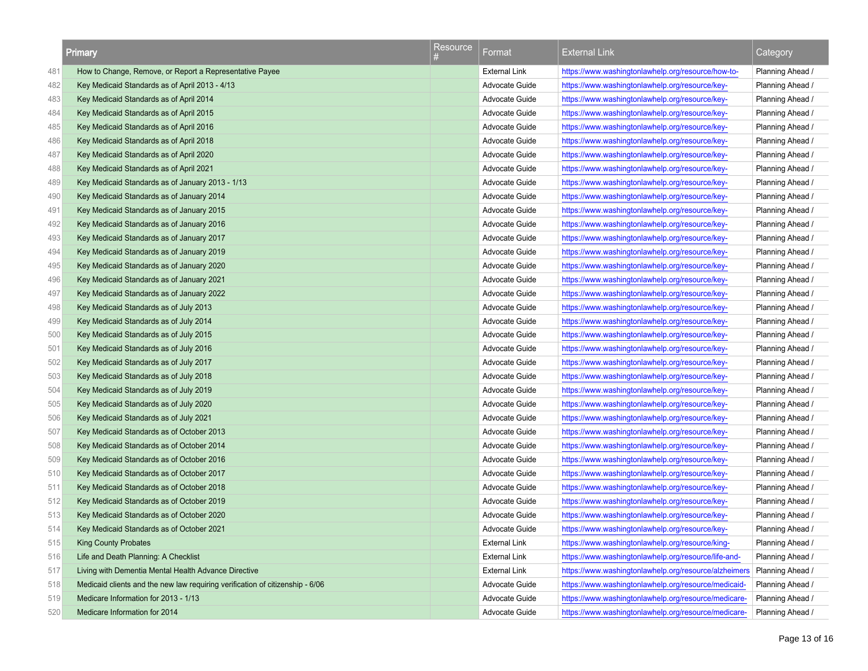|     | <b>Primary</b>                                                                | Resource | Format               | <b>External Link</b>                                  | Category         |
|-----|-------------------------------------------------------------------------------|----------|----------------------|-------------------------------------------------------|------------------|
| 481 | How to Change, Remove, or Report a Representative Payee                       |          | <b>External Link</b> | https://www.washingtonlawhelp.org/resource/how-to-    | Planning Ahead / |
| 482 | Key Medicaid Standards as of April 2013 - 4/13                                |          | Advocate Guide       | https://www.washingtonlawhelp.org/resource/key-       | Planning Ahead / |
| 483 | Key Medicaid Standards as of April 2014                                       |          | Advocate Guide       | https://www.washingtonlawhelp.org/resource/key-       | Planning Ahead / |
| 484 | Key Medicaid Standards as of April 2015                                       |          | Advocate Guide       | https://www.washingtonlawhelp.org/resource/key-       | Planning Ahead / |
| 485 | Key Medicaid Standards as of April 2016                                       |          | Advocate Guide       | https://www.washingtonlawhelp.org/resource/key-       | Planning Ahead / |
| 486 | Key Medicaid Standards as of April 2018                                       |          | Advocate Guide       | https://www.washingtonlawhelp.org/resource/key-       | Planning Ahead / |
| 487 | Key Medicaid Standards as of April 2020                                       |          | Advocate Guide       | https://www.washingtonlawhelp.org/resource/key-       | Planning Ahead / |
| 488 | Key Medicaid Standards as of April 2021                                       |          | Advocate Guide       | https://www.washingtonlawhelp.org/resource/key-       | Planning Ahead / |
| 489 | Key Medicaid Standards as of January 2013 - 1/13                              |          | Advocate Guide       | https://www.washingtonlawhelp.org/resource/key-       | Planning Ahead / |
| 490 | Key Medicaid Standards as of January 2014                                     |          | Advocate Guide       | https://www.washingtonlawhelp.org/resource/key-       | Planning Ahead / |
| 491 | Key Medicaid Standards as of January 2015                                     |          | Advocate Guide       | https://www.washingtonlawhelp.org/resource/key-       | Planning Ahead / |
| 492 | Key Medicaid Standards as of January 2016                                     |          | Advocate Guide       | https://www.washingtonlawhelp.org/resource/key-       | Planning Ahead / |
| 493 | Key Medicaid Standards as of January 2017                                     |          | Advocate Guide       | https://www.washingtonlawhelp.org/resource/key-       | Planning Ahead / |
| 494 | Key Medicaid Standards as of January 2019                                     |          | Advocate Guide       | https://www.washingtonlawhelp.org/resource/key-       | Planning Ahead / |
| 495 | Key Medicaid Standards as of January 2020                                     |          | Advocate Guide       | https://www.washingtonlawhelp.org/resource/key-       | Planning Ahead / |
| 496 | Key Medicaid Standards as of January 2021                                     |          | Advocate Guide       | https://www.washingtonlawhelp.org/resource/key-       | Planning Ahead / |
| 497 | Key Medicaid Standards as of January 2022                                     |          | Advocate Guide       | https://www.washingtonlawhelp.org/resource/key-       | Planning Ahead / |
| 498 | Key Medicaid Standards as of July 2013                                        |          | Advocate Guide       | https://www.washingtonlawhelp.org/resource/key-       | Planning Ahead / |
| 499 | Key Medicaid Standards as of July 2014                                        |          | Advocate Guide       | https://www.washingtonlawhelp.org/resource/key-       | Planning Ahead / |
| 500 | Key Medicaid Standards as of July 2015                                        |          | Advocate Guide       | https://www.washingtonlawhelp.org/resource/key-       | Planning Ahead / |
| 501 | Key Medicaid Standards as of July 2016                                        |          | Advocate Guide       | https://www.washingtonlawhelp.org/resource/key-       | Planning Ahead / |
| 502 | Key Medicaid Standards as of July 2017                                        |          | Advocate Guide       | https://www.washingtonlawhelp.org/resource/key-       | Planning Ahead / |
| 503 | Key Medicaid Standards as of July 2018                                        |          | Advocate Guide       | https://www.washingtonlawhelp.org/resource/key-       | Planning Ahead / |
| 504 | Key Medicaid Standards as of July 2019                                        |          | Advocate Guide       | https://www.washingtonlawhelp.org/resource/key-       | Planning Ahead / |
| 505 | Key Medicaid Standards as of July 2020                                        |          | Advocate Guide       | https://www.washingtonlawhelp.org/resource/key-       | Planning Ahead / |
| 506 | Key Medicaid Standards as of July 2021                                        |          | Advocate Guide       | https://www.washingtonlawhelp.org/resource/key-       | Planning Ahead / |
| 507 | Key Medicaid Standards as of October 2013                                     |          | Advocate Guide       | https://www.washingtonlawhelp.org/resource/key-       | Planning Ahead / |
| 508 | Key Medicaid Standards as of October 2014                                     |          | Advocate Guide       | https://www.washingtonlawhelp.org/resource/key-       | Planning Ahead / |
| 509 | Key Medicaid Standards as of October 2016                                     |          | Advocate Guide       | https://www.washingtonlawhelp.org/resource/key-       | Planning Ahead / |
| 510 | Key Medicaid Standards as of October 2017                                     |          | Advocate Guide       | https://www.washingtonlawhelp.org/resource/key-       | Planning Ahead / |
| 511 | Key Medicaid Standards as of October 2018                                     |          | Advocate Guide       | https://www.washingtonlawhelp.org/resource/key-       | Planning Ahead / |
| 512 | Key Medicaid Standards as of October 2019                                     |          | Advocate Guide       | https://www.washingtonlawhelp.org/resource/key-       | Planning Ahead / |
| 513 | Key Medicaid Standards as of October 2020                                     |          | Advocate Guide       | https://www.washingtonlawhelp.org/resource/key-       | Planning Ahead / |
| 514 | Key Medicaid Standards as of October 2021                                     |          | Advocate Guide       | https://www.washingtonlawhelp.org/resource/key-       | Planning Ahead / |
| 515 | <b>King County Probates</b>                                                   |          | <b>External Link</b> | https://www.washingtonlawhelp.org/resource/king-      | Planning Ahead / |
| 516 | Life and Death Planning: A Checklist                                          |          | <b>External Link</b> | https://www.washingtonlawhelp.org/resource/life-and-  | Planning Ahead / |
| 517 | Living with Dementia Mental Health Advance Directive                          |          | <b>External Link</b> | https://www.washingtonlawhelp.org/resource/alzheimers | Planning Ahead / |
| 518 | Medicaid clients and the new law requiring verification of citizenship - 6/06 |          | Advocate Guide       | https://www.washingtonlawhelp.org/resource/medicaid-  | Planning Ahead / |
| 519 | Medicare Information for 2013 - 1/13                                          |          | Advocate Guide       | https://www.washingtonlawhelp.org/resource/medicare-  | Planning Ahead / |
| 520 | Medicare Information for 2014                                                 |          | Advocate Guide       | https://www.washingtonlawhelp.org/resource/medicare-  | Planning Ahead / |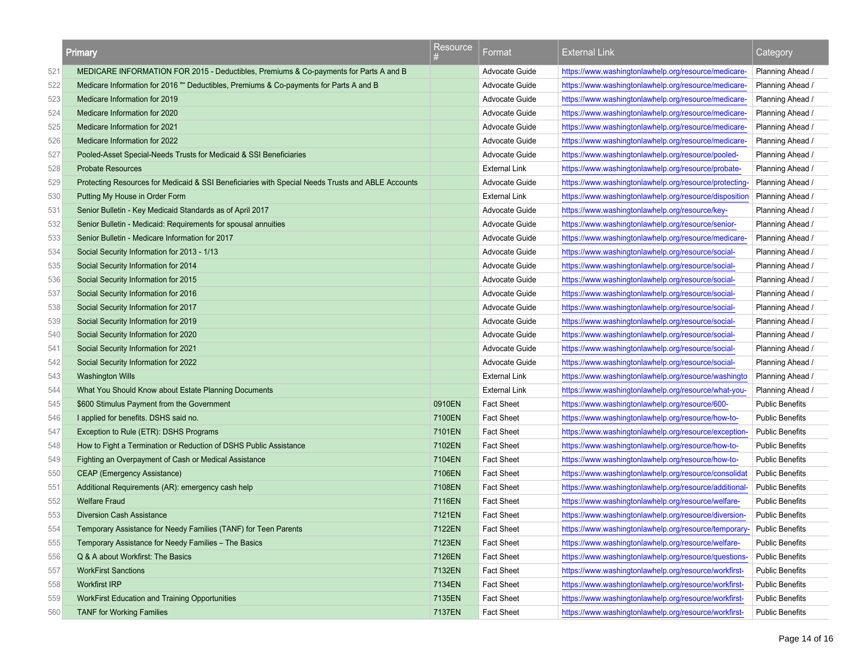|     | <b>Primary</b>                                                                                    | Resource | Format               | <b>External Link</b>                                   | Category               |
|-----|---------------------------------------------------------------------------------------------------|----------|----------------------|--------------------------------------------------------|------------------------|
| 521 | MEDICARE INFORMATION FOR 2015 - Deductibles, Premiums & Co-payments for Parts A and B             |          | Advocate Guide       | https://www.washingtonlawhelp.org/resource/medicare-   | Planning Ahead /       |
| 522 | Medicare Information for 2016 "" Deductibles, Premiums & Co-payments for Parts A and B            |          | Advocate Guide       | https://www.washingtonlawhelp.org/resource/medicare-   | Planning Ahead /       |
| 523 | Medicare Information for 2019                                                                     |          | Advocate Guide       | https://www.washingtonlawhelp.org/resource/medicare-   | Planning Ahead /       |
| 524 | Medicare Information for 2020                                                                     |          | Advocate Guide       | https://www.washingtonlawhelp.org/resource/medicare-   | Planning Ahead /       |
| 525 | Medicare Information for 2021                                                                     |          | Advocate Guide       | https://www.washingtonlawhelp.org/resource/medicare-   | Planning Ahead /       |
| 526 | Medicare Information for 2022                                                                     |          | Advocate Guide       | https://www.washingtonlawhelp.org/resource/medicare-   | Planning Ahead /       |
| 527 | Pooled-Asset Special-Needs Trusts for Medicaid & SSI Beneficiaries                                |          | Advocate Guide       | https://www.washingtonlawhelp.org/resource/pooled-     | Planning Ahead /       |
| 528 | <b>Probate Resources</b>                                                                          |          | <b>External Link</b> | https://www.washingtonlawhelp.org/resource/probate-    | Planning Ahead /       |
| 529 | Protecting Resources for Medicaid & SSI Beneficiaries with Special Needs Trusts and ABLE Accounts |          | Advocate Guide       | https://www.washingtonlawhelp.org/resource/protecting- | Planning Ahead /       |
| 530 | Putting My House in Order Form                                                                    |          | <b>External Link</b> | https://www.washingtonlawhelp.org/resource/disposition | Planning Ahead /       |
| 531 | Senior Bulletin - Key Medicaid Standards as of April 2017                                         |          | Advocate Guide       | https://www.washingtonlawhelp.org/resource/key-        | Planning Ahead /       |
| 532 | Senior Bulletin - Medicaid: Requirements for spousal annuities                                    |          | Advocate Guide       | https://www.washingtonlawhelp.org/resource/senior-     | Planning Ahead /       |
| 533 | Senior Bulletin - Medicare Information for 2017                                                   |          | Advocate Guide       | https://www.washingtonlawhelp.org/resource/medicare-   | Planning Ahead /       |
| 534 | Social Security Information for 2013 - 1/13                                                       |          | Advocate Guide       | https://www.washingtonlawhelp.org/resource/social-     | Planning Ahead /       |
| 535 | Social Security Information for 2014                                                              |          | Advocate Guide       | https://www.washingtonlawhelp.org/resource/social-     | Planning Ahead /       |
| 536 | Social Security Information for 2015                                                              |          | Advocate Guide       | https://www.washingtonlawhelp.org/resource/social-     | Planning Ahead /       |
| 537 | Social Security Information for 2016                                                              |          | Advocate Guide       | https://www.washingtonlawhelp.org/resource/social-     | Planning Ahead /       |
| 538 | Social Security Information for 2017                                                              |          | Advocate Guide       | https://www.washingtonlawhelp.org/resource/social-     | Planning Ahead /       |
| 539 | Social Security Information for 2019                                                              |          | Advocate Guide       | https://www.washingtonlawhelp.org/resource/social-     | Planning Ahead /       |
| 540 | Social Security Information for 2020                                                              |          | Advocate Guide       | https://www.washingtonlawhelp.org/resource/social-     | Planning Ahead /       |
| 541 | Social Security Information for 2021                                                              |          | Advocate Guide       | https://www.washingtonlawhelp.org/resource/social-     | Planning Ahead /       |
| 542 | Social Security Information for 2022                                                              |          | Advocate Guide       | https://www.washingtonlawhelp.org/resource/social-     | Planning Ahead /       |
| 543 | <b>Washington Wills</b>                                                                           |          | <b>External Link</b> | https://www.washingtonlawhelp.org/resource/washingto   | Planning Ahead /       |
| 544 | What You Should Know about Estate Planning Documents                                              |          | <b>External Link</b> | https://www.washingtonlawhelp.org/resource/what-you-   | Planning Ahead /       |
| 545 | \$600 Stimulus Payment from the Government                                                        | 0910EN   | <b>Fact Sheet</b>    | https://www.washingtonlawhelp.org/resource/600-        | <b>Public Benefits</b> |
| 546 | I applied for benefits. DSHS said no.                                                             | 7100EN   | <b>Fact Sheet</b>    | https://www.washingtonlawhelp.org/resource/how-to-     | <b>Public Benefits</b> |
| 547 | Exception to Rule (ETR): DSHS Programs                                                            | 7101EN   | <b>Fact Sheet</b>    | https://www.washingtonlawhelp.org/resource/exception-  | <b>Public Benefits</b> |
| 548 | How to Fight a Termination or Reduction of DSHS Public Assistance                                 | 7102EN   | <b>Fact Sheet</b>    | https://www.washingtonlawhelp.org/resource/how-to-     | <b>Public Benefits</b> |
| 549 | Fighting an Overpayment of Cash or Medical Assistance                                             | 7104EN   | <b>Fact Sheet</b>    | https://www.washingtonlawhelp.org/resource/how-to-     | <b>Public Benefits</b> |
| 550 | <b>CEAP</b> (Emergency Assistance)                                                                | 7106EN   | <b>Fact Sheet</b>    | https://www.washingtonlawhelp.org/resource/consolidat  | <b>Public Benefits</b> |
| 551 | Additional Requirements (AR): emergency cash help                                                 | 7108EN   | <b>Fact Sheet</b>    | https://www.washingtonlawhelp.org/resource/additional- | <b>Public Benefits</b> |
| 552 | <b>Welfare Fraud</b>                                                                              | 7116EN   | <b>Fact Sheet</b>    | https://www.washingtonlawhelp.org/resource/welfare-    | <b>Public Benefits</b> |
| 553 | <b>Diversion Cash Assistance</b>                                                                  | 7121EN   | <b>Fact Sheet</b>    | https://www.washingtonlawhelp.org/resource/diversion-  | <b>Public Benefits</b> |
| 554 | Temporary Assistance for Needy Families (TANF) for Teen Parents                                   | 7122EN   | <b>Fact Sheet</b>    | https://www.washingtonlawhelp.org/resource/temporary-  | <b>Public Benefits</b> |
| 555 | Temporary Assistance for Needy Families - The Basics                                              | 7123EN   | <b>Fact Sheet</b>    | https://www.washingtonlawhelp.org/resource/welfare-    | <b>Public Benefits</b> |
| 556 | Q & A about Workfirst: The Basics                                                                 | 7126EN   | <b>Fact Sheet</b>    | https://www.washingtonlawhelp.org/resource/questions-  | <b>Public Benefits</b> |
| 557 | <b>WorkFirst Sanctions</b>                                                                        | 7132EN   | <b>Fact Sheet</b>    | https://www.washingtonlawhelp.org/resource/workfirst-  | <b>Public Benefits</b> |
| 558 | <b>Workfirst IRP</b>                                                                              | 7134EN   | <b>Fact Sheet</b>    | https://www.washingtonlawhelp.org/resource/workfirst-  | <b>Public Benefits</b> |
| 559 | <b>WorkFirst Education and Training Opportunities</b>                                             | 7135EN   | <b>Fact Sheet</b>    | https://www.washingtonlawhelp.org/resource/workfirst-  | <b>Public Benefits</b> |
| 560 | <b>TANF for Working Families</b>                                                                  | 7137EN   | <b>Fact Sheet</b>    | https://www.washingtonlawhelp.org/resource/workfirst-  | <b>Public Benefits</b> |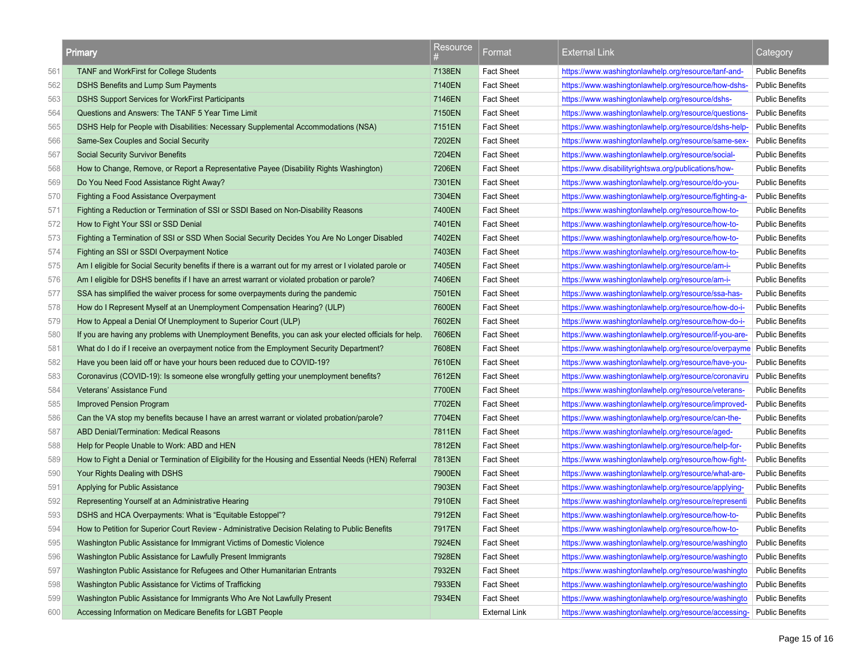|     | Primary                                                                                                    | Resource | Format               | <b>External Link</b>                                   | Category               |
|-----|------------------------------------------------------------------------------------------------------------|----------|----------------------|--------------------------------------------------------|------------------------|
| 561 | <b>TANF and WorkFirst for College Students</b>                                                             | 7138EN   | <b>Fact Sheet</b>    | https://www.washingtonlawhelp.org/resource/tanf-and-   | <b>Public Benefits</b> |
| 562 | DSHS Benefits and Lump Sum Payments                                                                        | 7140EN   | <b>Fact Sheet</b>    | https://www.washingtonlawhelp.org/resource/how-dshs-   | <b>Public Benefits</b> |
| 563 | <b>DSHS Support Services for WorkFirst Participants</b>                                                    | 7146EN   | <b>Fact Sheet</b>    | https://www.washingtonlawhelp.org/resource/dshs-       | <b>Public Benefits</b> |
| 564 | Questions and Answers: The TANF 5 Year Time Limit                                                          | 7150EN   | <b>Fact Sheet</b>    | https://www.washingtonlawhelp.org/resource/questions-  | <b>Public Benefits</b> |
| 565 | DSHS Help for People with Disabilities: Necessary Supplemental Accommodations (NSA)                        | 7151EN   | <b>Fact Sheet</b>    | https://www.washingtonlawhelp.org/resource/dshs-help-  | <b>Public Benefits</b> |
| 566 | Same-Sex Couples and Social Security                                                                       | 7202EN   | <b>Fact Sheet</b>    | https://www.washingtonlawhelp.org/resource/same-sex-   | <b>Public Benefits</b> |
| 567 | <b>Social Security Survivor Benefits</b>                                                                   | 7204EN   | <b>Fact Sheet</b>    | https://www.washingtonlawhelp.org/resource/social-     | <b>Public Benefits</b> |
| 568 | How to Change, Remove, or Report a Representative Payee (Disability Rights Washington)                     | 7206EN   | <b>Fact Sheet</b>    | https://www.disabilityrightswa.org/publications/how-   | <b>Public Benefits</b> |
| 569 | Do You Need Food Assistance Right Away?                                                                    | 7301EN   | <b>Fact Sheet</b>    | https://www.washingtonlawhelp.org/resource/do-you-     | <b>Public Benefits</b> |
| 570 | Fighting a Food Assistance Overpayment                                                                     | 7304EN   | <b>Fact Sheet</b>    | https://www.washingtonlawhelp.org/resource/fighting-a- | <b>Public Benefits</b> |
| 571 | Fighting a Reduction or Termination of SSI or SSDI Based on Non-Disability Reasons                         | 7400EN   | <b>Fact Sheet</b>    | https://www.washingtonlawhelp.org/resource/how-to-     | <b>Public Benefits</b> |
| 572 | How to Fight Your SSI or SSD Denial                                                                        | 7401EN   | <b>Fact Sheet</b>    | https://www.washingtonlawhelp.org/resource/how-to-     | <b>Public Benefits</b> |
| 573 | Fighting a Termination of SSI or SSD When Social Security Decides You Are No Longer Disabled               | 7402EN   | <b>Fact Sheet</b>    | https://www.washingtonlawhelp.org/resource/how-to-     | <b>Public Benefits</b> |
| 574 | Fighting an SSI or SSDI Overpayment Notice                                                                 | 7403EN   | <b>Fact Sheet</b>    | https://www.washingtonlawhelp.org/resource/how-to-     | <b>Public Benefits</b> |
| 575 | Am I eligible for Social Security benefits if there is a warrant out for my arrest or I violated parole or | 7405EN   | <b>Fact Sheet</b>    | https://www.washingtonlawhelp.org/resource/am-i-       | <b>Public Benefits</b> |
| 576 | Am I eligible for DSHS benefits if I have an arrest warrant or violated probation or parole?               | 7406EN   | <b>Fact Sheet</b>    | https://www.washingtonlawhelp.org/resource/am-i-       | <b>Public Benefits</b> |
| 577 | SSA has simplified the waiver process for some overpayments during the pandemic                            | 7501EN   | <b>Fact Sheet</b>    | https://www.washingtonlawhelp.org/resource/ssa-has-    | <b>Public Benefits</b> |
| 578 | How do I Represent Myself at an Unemployment Compensation Hearing? (ULP)                                   | 7600EN   | <b>Fact Sheet</b>    | https://www.washingtonlawhelp.org/resource/how-do-i-   | <b>Public Benefits</b> |
| 579 | How to Appeal a Denial Of Unemployment to Superior Court (ULP)                                             | 7602EN   | <b>Fact Sheet</b>    | https://www.washingtonlawhelp.org/resource/how-do-i-   | <b>Public Benefits</b> |
| 580 | If you are having any problems with Unemployment Benefits, you can ask your elected officials for help.    | 7606EN   | <b>Fact Sheet</b>    | https://www.washingtonlawhelp.org/resource/if-you-are- | <b>Public Benefits</b> |
| 581 | What do I do if I receive an overpayment notice from the Employment Security Department?                   | 7608EN   | <b>Fact Sheet</b>    | https://www.washingtonlawhelp.org/resource/overpayme   | <b>Public Benefits</b> |
| 582 | Have you been laid off or have your hours been reduced due to COVID-19?                                    | 7610EN   | <b>Fact Sheet</b>    | https://www.washingtonlawhelp.org/resource/have-you-   | <b>Public Benefits</b> |
| 583 | Coronavirus (COVID-19): Is someone else wrongfully getting your unemployment benefits?                     | 7612EN   | <b>Fact Sheet</b>    | https://www.washingtonlawhelp.org/resource/coronaviru  | <b>Public Benefits</b> |
| 584 | Veterans' Assistance Fund                                                                                  | 7700EN   | <b>Fact Sheet</b>    | https://www.washingtonlawhelp.org/resource/veterans-   | <b>Public Benefits</b> |
| 585 | <b>Improved Pension Program</b>                                                                            | 7702EN   | <b>Fact Sheet</b>    | https://www.washingtonlawhelp.org/resource/improved-   | <b>Public Benefits</b> |
| 586 | Can the VA stop my benefits because I have an arrest warrant or violated probation/parole?                 | 7704EN   | <b>Fact Sheet</b>    | https://www.washingtonlawhelp.org/resource/can-the-    | <b>Public Benefits</b> |
| 587 | ABD Denial/Termination: Medical Reasons                                                                    | 7811EN   | <b>Fact Sheet</b>    | https://www.washingtonlawhelp.org/resource/aged-       | <b>Public Benefits</b> |
| 588 | Help for People Unable to Work: ABD and HEN                                                                | 7812EN   | <b>Fact Sheet</b>    | https://www.washingtonlawhelp.org/resource/help-for-   | <b>Public Benefits</b> |
| 589 | How to Fight a Denial or Termination of Eligibility for the Housing and Essential Needs (HEN) Referral     | 7813EN   | <b>Fact Sheet</b>    | https://www.washingtonlawhelp.org/resource/how-fight-  | <b>Public Benefits</b> |
| 590 | Your Rights Dealing with DSHS                                                                              | 7900EN   | <b>Fact Sheet</b>    | https://www.washingtonlawhelp.org/resource/what-are-   | <b>Public Benefits</b> |
| 591 | Applying for Public Assistance                                                                             | 7903EN   | <b>Fact Sheet</b>    | https://www.washingtonlawhelp.org/resource/applying-   | <b>Public Benefits</b> |
| 592 | Representing Yourself at an Administrative Hearing                                                         | 7910EN   | <b>Fact Sheet</b>    | https://www.washingtonlawhelp.org/resource/representi  | <b>Public Benefits</b> |
| 593 | DSHS and HCA Overpayments: What is "Equitable Estoppel"?                                                   | 7912EN   | <b>Fact Sheet</b>    | https://www.washingtonlawhelp.org/resource/how-to-     | <b>Public Benefits</b> |
| 594 | How to Petition for Superior Court Review - Administrative Decision Relating to Public Benefits            | 7917EN   | <b>Fact Sheet</b>    | https://www.washingtonlawhelp.org/resource/how-to-     | <b>Public Benefits</b> |
| 595 | Washington Public Assistance for Immigrant Victims of Domestic Violence                                    | 7924EN   | <b>Fact Sheet</b>    | https://www.washingtonlawhelp.org/resource/washingto   | <b>Public Benefits</b> |
| 596 | Washington Public Assistance for Lawfully Present Immigrants                                               | 7928EN   | <b>Fact Sheet</b>    | https://www.washingtonlawhelp.org/resource/washingto   | <b>Public Benefits</b> |
| 597 | Washington Public Assistance for Refugees and Other Humanitarian Entrants                                  | 7932EN   | <b>Fact Sheet</b>    | https://www.washingtonlawhelp.org/resource/washingto   | <b>Public Benefits</b> |
| 598 | Washington Public Assistance for Victims of Trafficking                                                    | 7933EN   | <b>Fact Sheet</b>    | https://www.washingtonlawhelp.org/resource/washingto   | <b>Public Benefits</b> |
| 599 | Washington Public Assistance for Immigrants Who Are Not Lawfully Present                                   | 7934EN   | <b>Fact Sheet</b>    | https://www.washingtonlawhelp.org/resource/washingto   | <b>Public Benefits</b> |
| 600 | Accessing Information on Medicare Benefits for LGBT People                                                 |          | <b>External Link</b> | https://www.washingtonlawhelp.org/resource/accessing-  | <b>Public Benefits</b> |